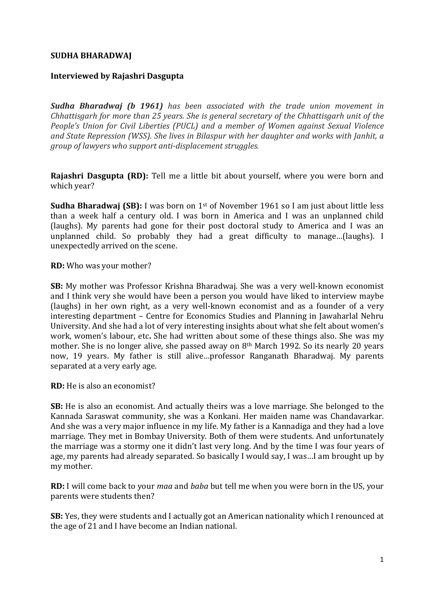#### **SUDHA BHARADWAJ**

#### **Interviewed by Rajashri Dasgupta**

**Sudha Bharadwai (b. 1961)** has been associated with the trade union movement in *Chhattisgarh for more than 25 years. She is general secretary of the Chhattisgarh unit of the People's Union for Civil Liberties (PUCL)* and a member of Women against Sexual Violence and State Repression (WSS). She lives in Bilaspur with her daughter and works with *Janhit*, a *group* of lawyers who support anti-displacement struggles.

**Rajashri Dasgupta (RD):** Tell me a little bit about yourself, where you were born and which year?

**Sudha Bharadwaj (SB):** I was born on 1<sup>st</sup> of November 1961 so I am just about little less than a week half a century old. I was born in America and I was an unplanned child (laughs). My parents had gone for their post doctoral study to America and I was an unplanned child. So probably they had a great difficulty to manage...(laughs). I unexpectedly arrived on the scene.

**RD:** Who was your mother?

**SB:** My mother was Professor Krishna Bharadwaj. She was a very well-known economist and I think very she would have been a person you would have liked to interview maybe (laughs) in her own right, as a very well-known economist and as a founder of a very interesting department - Centre for Economics Studies and Planning in Jawaharlal Nehru University. And she had a lot of very interesting insights about what she felt about women's work, women's labour, etc. She had written about some of these things also. She was my mother. She is no longer alive, she passed away on  $8<sup>th</sup>$  March 1992. So its nearly 20 years now, 19 years. My father is still alive...professor Ranganath Bharadwaj. My parents separated at a very early age.

**RD:** He is also an economist?

**SB:** He is also an economist. And actually theirs was a love marriage. She belonged to the Kannada Saraswat community, she was a Konkani. Her maiden name was Chandavarkar. And she was a very major influence in my life. My father is a Kannadiga and they had a love marriage. They met in Bombay University. Both of them were students. And unfortunately the marriage was a stormy one it didn't last very long. And by the time I was four years of age, my parents had already separated. So basically I would say, I was...I am brought up by my mother.

**RD:** I will come back to your *maa* and *baba* but tell me when you were born in the US, your parents were students then?

**SB:** Yes, they were students and I actually got an American nationality which I renounced at the age of 21 and I have become an Indian national.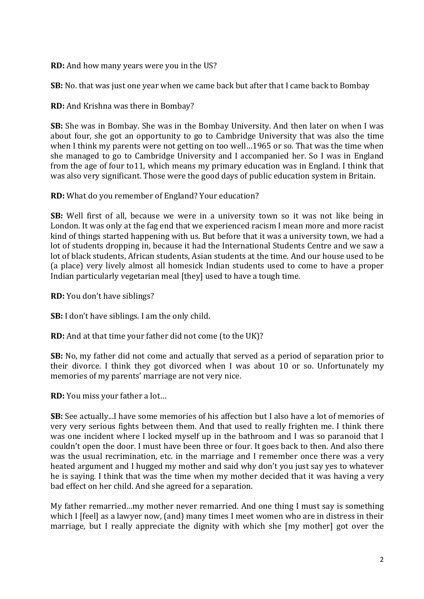**RD:** And how many years were you in the US?

**SB:** No. that was just one year when we came back but after that I came back to Bombay

**RD:** And Krishna was there in Bombay?

**SB:** She was in Bombay. She was in the Bombay University. And then later on when I was about four, she got an opportunity to go to Cambridge University that was also the time when I think my parents were not getting on too well...1965 or so. That was the time when she managed to go to Cambridge University and I accompanied her. So I was in England from the age of four to11, which means my primary education was in England. I think that was also very significant. Those were the good days of public education system in Britain.

**RD:** What do you remember of England? Your education?

**SB:** Well first of all, because we were in a university town so it was not like being in London. It was only at the fag end that we experienced racism I mean more and more racist kind of things started happening with us. But before that it was a university town, we had a lot of students dropping in, because it had the International Students Centre and we saw a lot of black students, African students, Asian students at the time. And our house used to be (a place) very lively almost all homesick Indian students used to come to have a proper Indian particularly vegetarian meal [they] used to have a tough time.

**RD:** You don't have siblings?

**SB:** I don't have siblings. I am the only child.

**RD:** And at that time your father did not come (to the UK)?

**SB:** No, my father did not come and actually that served as a period of separation prior to their divorce. I think they got divorced when I was about 10 or so. Unfortunately my memories of my parents' marriage are not very nice.

**RD:** You miss your father a lot...

**SB:** See actually...I have some memories of his affection but I also have a lot of memories of very very serious fights between them. And that used to really frighten me. I think there was one incident where I locked myself up in the bathroom and I was so paranoid that I couldn't open the door. I must have been three or four. It goes back to then. And also there was the usual recrimination, etc. in the marriage and I remember once there was a very heated argument and I hugged my mother and said why don't you just say ves to whatever he is saying. I think that was the time when my mother decided that it was having a very bad effect on her child. And she agreed for a separation.

My father remarried...my mother never remarried. And one thing I must say is something which I [feel] as a lawyer now, (and) many times I meet women who are in distress in their marriage, but I really appreciate the dignity with which she [my mother] got over the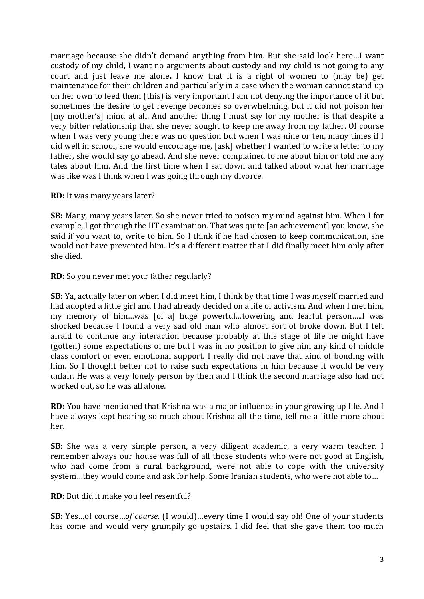marriage because she didn't demand anything from him. But she said look here...I want custody of my child, I want no arguments about custody and my child is not going to any court and just leave me alone. I know that it is a right of women to (may be) get maintenance for their children and particularly in a case when the woman cannot stand up on her own to feed them (this) is very important I am not denying the importance of it but sometimes the desire to get revenge becomes so overwhelming, but it did not poison her [my mother's] mind at all. And another thing I must say for my mother is that despite a very bitter relationship that she never sought to keep me away from my father. Of course when I was very young there was no question but when I was nine or ten, many times if I did well in school, she would encourage me, [ask] whether I wanted to write a letter to my father, she would say go ahead. And she never complained to me about him or told me any tales about him. And the first time when I sat down and talked about what her marriage was like was I think when I was going through my divorce.

**RD:** It was many years later?

**SB:** Many, many years later. So she never tried to poison my mind against him. When I for example, I got through the IIT examination. That was quite [an achievement] you know, she said if you want to, write to him. So I think if he had chosen to keep communication, she would not have prevented him. It's a different matter that I did finally meet him only after she died.

**RD:** So you never met your father regularly?

**SB:** Ya, actually later on when I did meet him, I think by that time I was myself married and had adopted a little girl and I had already decided on a life of activism. And when I met him, my memory of him...was [of a] huge powerful...towering and fearful person.....I was shocked because I found a very sad old man who almost sort of broke down. But I felt afraid to continue any interaction because probably at this stage of life he might have (gotten) some expectations of me but I was in no position to give him any kind of middle class comfort or even emotional support. I really did not have that kind of bonding with him. So I thought better not to raise such expectations in him because it would be very unfair. He was a very lonely person by then and I think the second marriage also had not worked out, so he was all alone.

**RD:** You have mentioned that Krishna was a major influence in your growing up life. And I have always kept hearing so much about Krishna all the time, tell me a little more about her.

**SB:** She was a very simple person, a very diligent academic, a very warm teacher. I remember always our house was full of all those students who were not good at English. who had come from a rural background, were not able to cope with the university system...they would come and ask for help. Some Iranian students, who were not able to...

**RD:** But did it make you feel resentful?

**SB:** Yes...of course...of course. (I would)...every time I would say oh! One of your students has come and would very grumpily go upstairs. I did feel that she gave them too much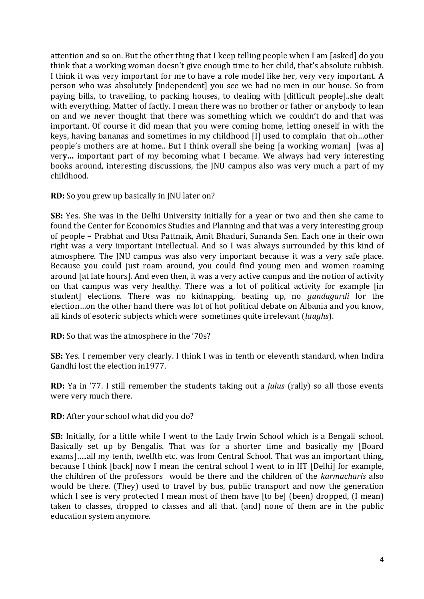attention and so on. But the other thing that I keep telling people when I am [asked] do you think that a working woman doesn't give enough time to her child, that's absolute rubbish. I think it was very important for me to have a role model like her, very very important. A person who was absolutely [independent] you see we had no men in our house. So from paying bills, to travelling, to packing houses, to dealing with [difficult people]..she dealt with everything. Matter of factly. I mean there was no brother or father or anybody to lean on and we never thought that there was something which we couldn't do and that was important. Of course it did mean that you were coming home, letting oneself in with the keys, having bananas and sometimes in my childhood [I] used to complain that oh...other people's mothers are at home.. But I think overall she being [a working woman] [was a] very... important part of my becoming what I became. We always had very interesting books around, interesting discussions, the JNU campus also was very much a part of my childhood.

**RD:** So you grew up basically in JNU later on?

**SB:** Yes. She was in the Delhi University initially for a year or two and then she came to found the Center for Economics Studies and Planning and that was a very interesting group of people - Prabhat and Utsa Pattnaik, Amit Bhaduri, Sunanda Sen. Each one in their own right was a very important intellectual. And so I was always surrounded by this kind of atmosphere. The JNU campus was also very important because it was a very safe place. Because you could just roam around, you could find young men and women roaming around [at late hours]. And even then, it was a very active campus and the notion of activity on that campus was very healthy. There was a lot of political activity for example [in] student] elections. There was no kidnapping, beating up, no *gundagardi* for the election...on the other hand there was lot of hot political debate on Albania and you know, all kinds of esoteric subjects which were sometimes quite irrelevant (*laughs*).

**RD:** So that was the atmosphere in the '70s?

**SB:** Yes. I remember very clearly. I think I was in tenth or eleventh standard, when Indira Gandhi lost the election in 1977.

**RD:** Ya in '77. I still remember the students taking out a *julus* (rally) so all those events were very much there.

**RD:** After your school what did you do?

**SB:** Initially, for a little while I went to the Lady Irwin School which is a Bengali school. Basically set up by Bengalis. That was for a shorter time and basically my [Board exams], all my tenth, twelfth etc. was from Central School. That was an important thing, because I think [back] now I mean the central school I went to in IIT [Delhi] for example, the children of the professors would be there and the children of the *karmacharis* also would be there. (They) used to travel by bus, public transport and now the generation which I see is very protected I mean most of them have  $[$  to be $]$  (been) dropped,  $[$ I mean) taken to classes, dropped to classes and all that. (and) none of them are in the public education system anymore.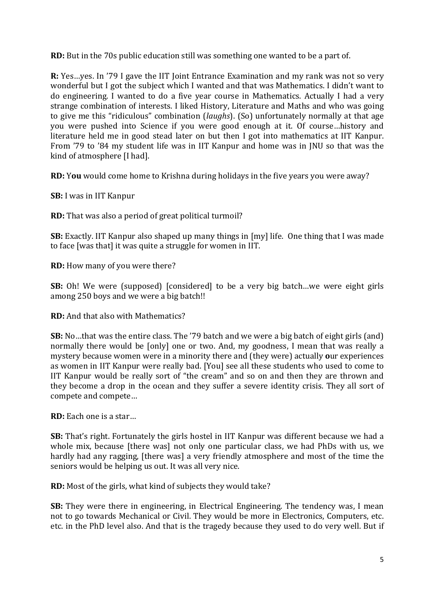**RD:** But in the 70s public education still was something one wanted to be a part of.

**R:** Yes...ves. In '79 I gave the IIT Joint Entrance Examination and my rank was not so very wonderful but I got the subject which I wanted and that was Mathematics. I didn't want to do engineering. I wanted to do a five year course in Mathematics. Actually I had a very strange combination of interests. I liked History, Literature and Maths and who was going to give me this "ridiculous" combination (*laughs*). (So) unfortunately normally at that age you were pushed into Science if you were good enough at it. Of course...history and literature held me in good stead later on but then I got into mathematics at IIT Kanpur. From '79 to '84 my student life was in IIT Kanpur and home was in JNU so that was the kind of atmosphere [I had].

**RD:** You would come home to Krishna during holidays in the five years you were away?

**SB:** I was in IIT Kanpur

**RD:** That was also a period of great political turmoil?

**SB:** Exactly. IIT Kanpur also shaped up many things in [my] life. One thing that I was made to face Iwas thatl it was quite a struggle for women in IIT.

**RD:** How many of you were there?

**SB:** Oh! We were (supposed) [considered] to be a very big batch...we were eight girls among 250 boys and we were a big batch!!

**RD:** And that also with Mathematics?

**SB:** No...that was the entire class. The '79 batch and we were a big batch of eight girls (and) normally there would be [only] one or two. And, my goodness, I mean that was really a mystery because women were in a minority there and (they were) actually **o**ur experiences as women in IIT Kanpur were really bad. [You] see all these students who used to come to IIT Kanpur would be really sort of "the cream" and so on and then they are thrown and they become a drop in the ocean and they suffer a severe identity crisis. They all sort of compete and compete...

**RD:** Each one is a star...

**SB:** That's right. Fortunately the girls hostel in IIT Kanpur was different because we had a whole mix, because [there was] not only one particular class, we had PhDs with us, we hardly had any ragging, [there was] a very friendly atmosphere and most of the time the seniors would be helping us out. It was all very nice.

**RD:** Most of the girls, what kind of subjects they would take?

**SB:** They were there in engineering, in Electrical Engineering. The tendency was, I mean not to go towards Mechanical or Civil. They would be more in Electronics, Computers, etc. etc. in the PhD level also. And that is the tragedy because they used to do very well. But if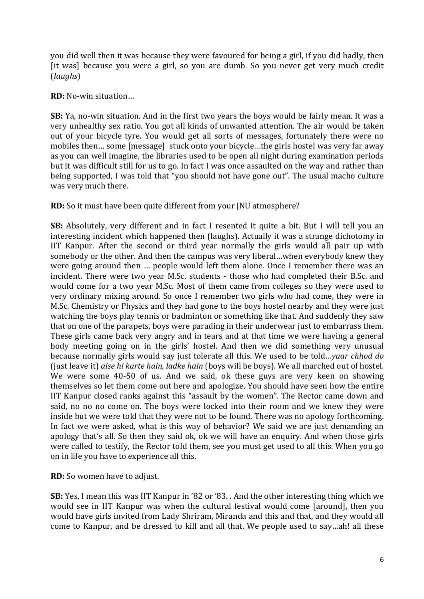you did well then it was because they were favoured for being a girl, if you did badly, then [it was] because you were a girl, so you are dumb. So you never get very much credit (*laughs*)

**RD:** No-win situation...

**SB:** Ya, no-win situation. And in the first two vears the boys would be fairly mean. It was a very unhealthy sex ratio. You got all kinds of unwanted attention. The air would be taken out of your bicycle tyre. You would get all sorts of messages, fortunately there were no mobiles then... some [message] stuck onto your bicycle...the girls hostel was very far away as vou can well imagine, the libraries used to be open all night during examination periods but it was difficult still for us to go. In fact I was once assaulted on the way and rather than being supported, I was told that "you should not have gone out". The usual macho culture was very much there.

**RD:** So it must have been quite different from your JNU atmosphere?

**SB:** Absolutely, very different and in fact I resented it quite a bit. But I will tell you an interesting incident which happened then (laughs). Actually it was a strange dichotomy in IIT Kanpur. After the second or third year normally the girls would all pair up with somebody or the other. And then the campus was very liberal...when everybody knew they were going around then ... people would left them alone. Once I remember there was an incident. There were two year M.Sc. students - those who had completed their B.Sc. and would come for a two year M.Sc. Most of them came from colleges so they were used to very ordinary mixing around. So once I remember two girls who had come, they were in M.Sc. Chemistry or Physics and they had gone to the boys hostel nearby and they were just watching the boys play tennis or badminton or something like that. And suddenly they saw that on one of the parapets, boys were parading in their underwear just to embarrass them. These girls came back very angry and in tears and at that time we were having a general body meeting going on in the girls' hostel. And then we did something very unusual because normally girls would say just tolerate all this. We used to be told...yaar chhod do (just leave it) *aise hi karte hain, ladke hain* (boys will be boys). We all marched out of hostel. We were some 40-50 of us. And we said, ok these guys are very keen on showing themselves so let them come out here and apologize. You should have seen how the entire IIT Kanpur closed ranks against this "assault by the women". The Rector came down and said, no no no come on. The boys were locked into their room and we knew they were inside but we were told that they were not to be found. There was no apology forthcoming. In fact we were asked, what is this way of behavior? We said we are just demanding an apology that's all. So then they said ok, ok we will have an enquiry. And when those girls were called to testify, the Rector told them, see you must get used to all this. When you go on in life you have to experience all this.

**RD:** So women have to adjust.

**SB:** Yes, I mean this was IIT Kanpur in '82 or '83. . And the other interesting thing which we would see in IIT Kanpur was when the cultural festival would come [around], then you would have girls invited from Lady Shriram, Miranda and this and that, and they would all come to Kanpur, and be dressed to kill and all that. We people used to say...ah! all these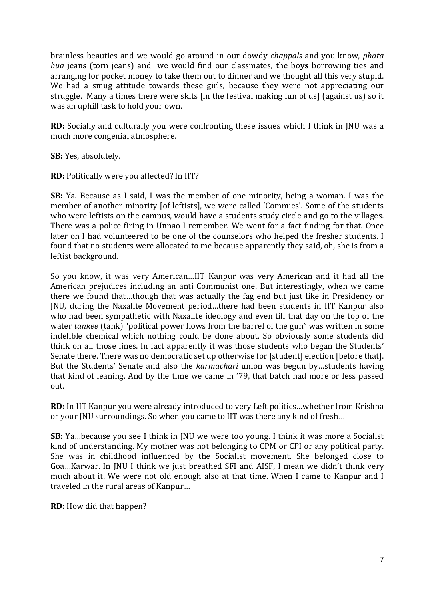brainless beauties and we would go around in our dowdy *chappals* and you know, *phata hua* jeans (torn jeans) and we would find our classmates, the boys borrowing ties and arranging for pocket money to take them out to dinner and we thought all this very stupid. We had a smug attitude towards these girls, because they were not appreciating our struggle. Many a times there were skits [in the festival making fun of us] (against us) so it was an uphill task to hold your own.

**RD:** Socially and culturally you were confronting these issues which I think in JNU was a much more congenial atmosphere.

**SB:** Yes, absolutely.

**RD:** Politically were you affected? In IIT?

**SB:** Ya. Because as I said, I was the member of one minority, being a woman. I was the member of another minority [of leftists], we were called 'Commies'. Some of the students who were leftists on the campus, would have a students study circle and go to the villages. There was a police firing in Unnao I remember. We went for a fact finding for that. Once later on I had volunteered to be one of the counselors who helped the fresher students. I found that no students were allocated to me because apparently they said, oh, she is from a leftist background.

So you know, it was very American...IIT Kanpur was very American and it had all the American prejudices including an anti Communist one. But interestingly, when we came there we found that...though that was actually the fag end but just like in Presidency or JNU, during the Naxalite Movement period...there had been students in IIT Kanpur also who had been sympathetic with Naxalite ideology and even till that day on the top of the water *tankee* (tank) "political power flows from the barrel of the gun" was written in some indelible chemical which nothing could be done about. So obviously some students did think on all those lines. In fact apparently it was those students who began the Students' Senate there. There was no democratic set up otherwise for [student] election [before that]. But the Students' Senate and also the *karmachari* union was begun by…students having that kind of leaning. And by the time we came in '79, that batch had more or less passed out. 

**RD:** In IIT Kanpur you were already introduced to very Left politics...whether from Krishna or your JNU surroundings. So when you came to IIT was there any kind of fresh...

**SB:** Ya...because you see I think in JNU we were too young. I think it was more a Socialist kind of understanding. My mother was not belonging to CPM or CPI or any political party. She was in childhood influenced by the Socialist movement. She belonged close to Goa...Karwar. In JNU I think we just breathed SFI and AISF, I mean we didn't think very much about it. We were not old enough also at that time. When I came to Kanpur and I traveled in the rural areas of Kanpur...

**RD:** How did that happen?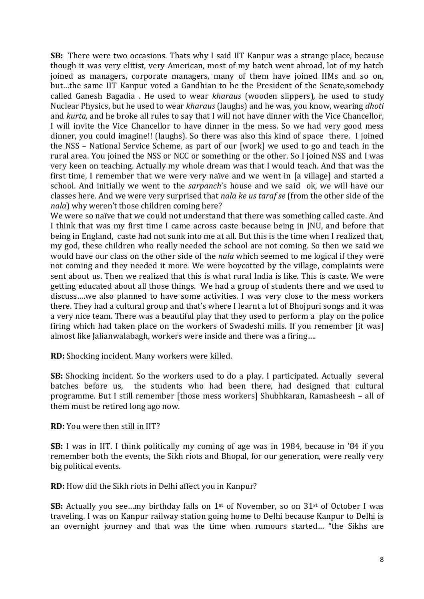**SB:** There were two occasions. Thats why I said IIT Kanpur was a strange place, because though it was very elitist, very American, most of my batch went abroad, lot of my batch joined as managers, corporate managers, many of them have joined IIMs and so on, but...the same IIT Kanpur voted a Gandhian to be the President of the Senate,somebody called Ganesh Bagadia . He used to wear *kharaus* (wooden slippers), he used to study Nuclear Physics, but he used to wear *kharaus* (laughs) and he was, you know, wearing *dhoti* and *kurta*, and he broke all rules to say that I will not have dinner with the Vice Chancellor, I will invite the Vice Chancellor to have dinner in the mess. So we had very good mess dinner, you could imagine!! (laughs). So there was also this kind of space there. I joined the NSS – National Service Scheme, as part of our [work] we used to go and teach in the rural area. You joined the NSS or NCC or something or the other. So I joined NSS and I was very keen on teaching. Actually my whole dream was that I would teach. And that was the first time, I remember that we were very naïve and we went in [a village] and started a school. And initially we went to the *sarpanch*'s house and we said ok, we will have our classes here. And we were very surprised that *nala ke us taraf se* (from the other side of the *nala*) why weren't those children coming here?

We were so naïve that we could not understand that there was something called caste. And I think that was my first time I came across caste because being in JNU, and before that being in England, caste had not sunk into me at all. But this is the time when I realized that, my god, these children who really needed the school are not coming. So then we said we would have our class on the other side of the *nala* which seemed to me logical if they were not coming and they needed it more. We were boycotted by the village, complaints were sent about us. Then we realized that this is what rural India is like. This is caste. We were getting educated about all those things. We had a group of students there and we used to discuss....we also planned to have some activities. I was very close to the mess workers there. They had a cultural group and that's where I learnt a lot of Bhojpuri songs and it was a very nice team. There was a beautiful play that they used to perform a play on the police firing which had taken place on the workers of Swadeshi mills. If you remember  $\lceil$ it was $\rceil$ almost like Jalianwalabagh, workers were inside and there was a firing....

**RD:** Shocking incident. Many workers were killed.

**SB:** Shocking incident. So the workers used to do a play. I participated. Actually several batches before us, the students who had been there, had designed that cultural programme. But I still remember [those mess workers] Shubhkaran, Ramasheesh **–** all of them must be retired long ago now.

**RD:** You were then still in IIT?

**SB:** I was in IIT. I think politically my coming of age was in 1984, because in '84 if you remember both the events, the Sikh riots and Bhopal, for our generation, were really very big political events.

**RD:** How did the Sikh riots in Delhi affect you in Kanpur?

**SB:** Actually you see...my birthday falls on  $1<sup>st</sup>$  of November, so on  $31<sup>st</sup>$  of October I was traveling. I was on Kanpur railway station going home to Delhi because Kanpur to Delhi is an overnight journey and that was the time when rumours started... "the Sikhs are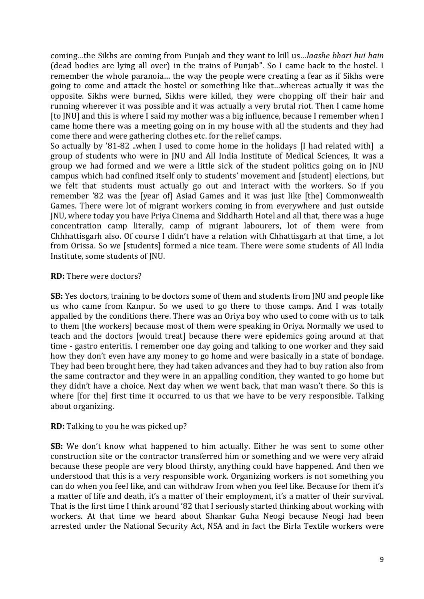coming...the Sikhs are coming from Punjab and they want to kill us...*laashe bhari hui hain* (dead bodies are lying all over) in the trains of Punjab". So I came back to the hostel. I remember the whole paranoia... the way the people were creating a fear as if Sikhs were going to come and attack the hostel or something like that...whereas actually it was the opposite. Sikhs were burned, Sikhs were killed, they were chopping off their hair and running wherever it was possible and it was actually a very brutal riot. Then I came home [to [NU] and this is where I said my mother was a big influence, because I remember when I came home there was a meeting going on in my house with all the students and they had come there and were gathering clothes etc. for the relief camps.

So actually by '81-82 ..when I used to come home in the holidays [I had related with] a group of students who were in JNU and All India Institute of Medical Sciences, It was a group we had formed and we were a little sick of the student politics going on in JNU campus which had confined itself only to students' movement and [student] elections, but we felt that students must actually go out and interact with the workers. So if you remember '82 was the [year of] Asiad Games and it was just like [the] Commonwealth Games. There were lot of migrant workers coming in from everywhere and just outside JNU, where today you have Priya Cinema and Siddharth Hotel and all that, there was a huge concentration camp literally, camp of migrant labourers, lot of them were from Chhhattisgarh also. Of course I didn't have a relation with Chhattisgarh at that time, a lot from Orissa. So we [students] formed a nice team. There were some students of All India Institute, some students of JNU.

**RD:** There were doctors?

**SB:** Yes doctors, training to be doctors some of them and students from JNU and people like us who came from Kanpur. So we used to go there to those camps. And I was totally appalled by the conditions there. There was an Oriya boy who used to come with us to talk to them [the workers] because most of them were speaking in Oriya. Normally we used to teach and the doctors [would treat] because there were epidemics going around at that time - gastro enteritis. I remember one day going and talking to one worker and they said how they don't even have any money to go home and were basically in a state of bondage. They had been brought here, they had taken advances and they had to buy ration also from the same contractor and they were in an appalling condition, they wanted to go home but they didn't have a choice. Next day when we went back, that man wasn't there. So this is where [for the] first time it occurred to us that we have to be very responsible. Talking about organizing.

**RD:** Talking to you he was picked up?

**SB:** We don't know what happened to him actually. Either he was sent to some other construction site or the contractor transferred him or something and we were very afraid because these people are very blood thirsty, anything could have happened. And then we understood that this is a very responsible work. Organizing workers is not something you can do when you feel like, and can withdraw from when you feel like. Because for them it's a matter of life and death, it's a matter of their employment, it's a matter of their survival. That is the first time I think around '82 that I seriously started thinking about working with workers. At that time we heard about Shankar Guha Neogi because Neogi had been arrested under the National Security Act, NSA and in fact the Birla Textile workers were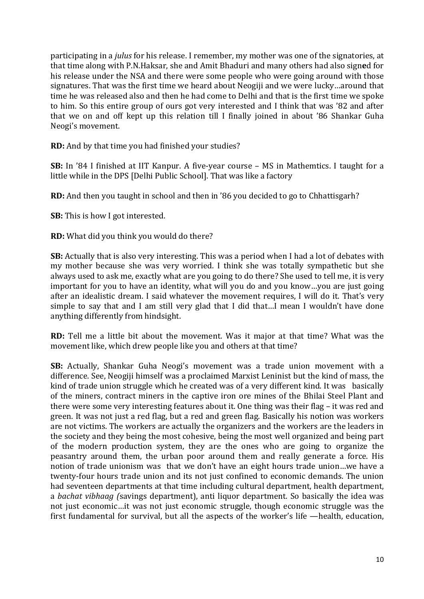participating in a *julus* for his release. I remember, my mother was one of the signatories, at that time along with P.N.Haksar, she and Amit Bhaduri and many others had also signed for his release under the NSA and there were some people who were going around with those signatures. That was the first time we heard about Neogiji and we were lucky…around that time he was released also and then he had come to Delhi and that is the first time we spoke to him. So this entire group of ours got very interested and I think that was '82 and after that we on and off kept up this relation till I finally joined in about '86 Shankar Guha Neogi's movement.

**RD:** And by that time you had finished your studies?

**SB:** In '84 I finished at IIT Kanpur. A five-year course – MS in Mathemtics. I taught for a little while in the DPS [Delhi Public School]. That was like a factory

**RD:** And then you taught in school and then in '86 you decided to go to Chhattisgarh?

**SB:** This is how I got interested.

**RD:** What did you think you would do there?

**SB:** Actually that is also very interesting. This was a period when I had a lot of debates with my mother because she was very worried. I think she was totally sympathetic but she always used to ask me, exactly what are you going to do there? She used to tell me, it is very important for you to have an identity, what will you do and you know...you are just going after an idealistic dream. I said whatever the movement requires, I will do it. That's very simple to say that and I am still very glad that I did that...I mean I wouldn't have done anything differently from hindsight.

**RD:** Tell me a little bit about the movement. Was it major at that time? What was the movement like, which drew people like you and others at that time?

**SB:** Actually, Shankar Guha Neogi's movement was a trade union movement with a difference. See, Neogiji himself was a proclaimed Marxist Leninist but the kind of mass, the kind of trade union struggle which he created was of a very different kind. It was basically of the miners, contract miners in the captive iron ore mines of the Bhilai Steel Plant and there were some very interesting features about it. One thing was their flag – it was red and green. It was not just a red flag, but a red and green flag. Basically his notion was workers are not victims. The workers are actually the organizers and the workers are the leaders in the society and they being the most cohesive, being the most well organized and being part of the modern production system, they are the ones who are going to organize the peasantry around them, the urban poor around them and really generate a force. His notion of trade unionism was that we don't have an eight hours trade union...we have a twenty-four hours trade union and its not just confined to economic demands. The union had seventeen departments at that time including cultural department, health department, a *bachat vibhaag (savings department)*, anti liquor department. So basically the idea was not just economic...it was not just economic struggle, though economic struggle was the first fundamental for survival, but all the aspects of the worker's life —health, education,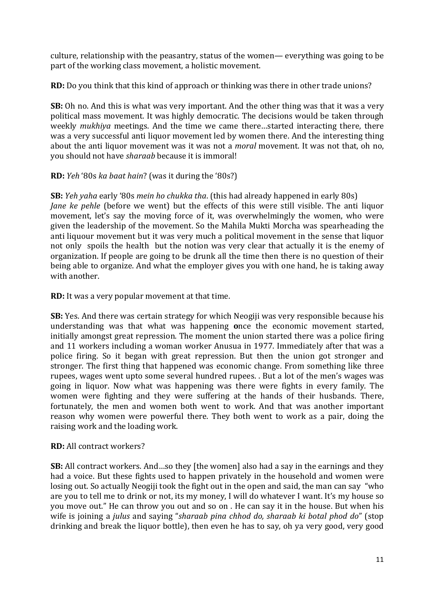culture, relationship with the peasantry, status of the women— everything was going to be part of the working class movement, a holistic movement.

**RD:** Do you think that this kind of approach or thinking was there in other trade unions?

**SB:** Oh no. And this is what was very important. And the other thing was that it was a very political mass movement. It was highly democratic. The decisions would be taken through weekly *mukhiya* meetings. And the time we came there...started interacting there, there was a very successful anti liquor movement led by women there. And the interesting thing about the anti liquor movement was it was not a *moral* movement. It was not that, oh no, you should not have *sharaab* because it is immoral!

**RD:** *Yeh* '80s *ka baat hain*? (was it during the '80s?)

**SB:** *Yeh* yaha early '80s *mein ho chukka tha*. (this had already happened in early 80s) *Jane ke pehle* (before we went) but the effects of this were still visible. The anti liquor movement, let's say the moving force of it, was overwhelmingly the women, who were given the leadership of the movement. So the Mahila Mukti Morcha was spearheading the anti liquour movement but it was very much a political movement in the sense that liquor not only spoils the health but the notion was very clear that actually it is the enemy of organization. If people are going to be drunk all the time then there is no question of their being able to organize. And what the employer gives you with one hand, he is taking away with another.

**RD:** It was a very popular movement at that time.

**SB:** Yes. And there was certain strategy for which Neogiji was very responsible because his understanding was that what was happening once the economic movement started, initially amongst great repression. The moment the union started there was a police firing and 11 workers including a woman worker Anusua in 1977. Immediately after that was a police firing. So it began with great repression. But then the union got stronger and stronger. The first thing that happened was economic change. From something like three rupees, wages went upto some several hundred rupees.  $\Delta$  But a lot of the men's wages was going in liquor. Now what was happening was there were fights in every family. The women were fighting and they were suffering at the hands of their husbands. There, fortunately, the men and women both went to work. And that was another important reason why women were powerful there. They both went to work as a pair, doing the raising work and the loading work.

# **RD:** All contract workers?

**SB:** All contract workers. And ...so they [the women] also had a say in the earnings and they had a voice. But these fights used to happen privately in the household and women were losing out. So actually Neogiji took the fight out in the open and said, the man can say "who are you to tell me to drink or not, its my money, I will do whatever I want. It's my house so you move out." He can throw you out and so on . He can say it in the house. But when his wife is joining a *julus* and saying "*sharaab pina chhod do, sharaab ki botal phod do*" (stop drinking and break the liquor bottle), then even he has to say, oh ya very good, very good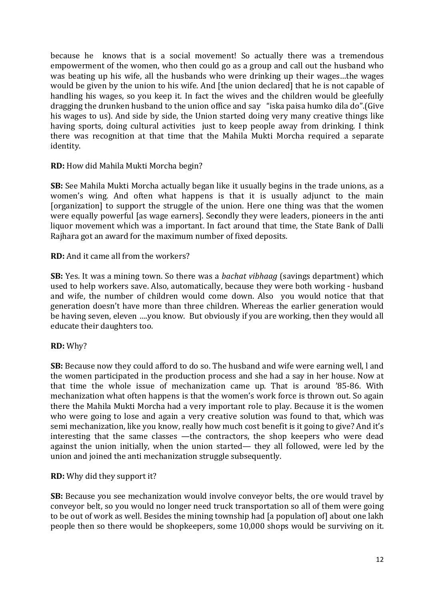because he knows that is a social movement! So actually there was a tremendous empowerment of the women, who then could go as a group and call out the husband who was beating up his wife, all the husbands who were drinking up their wages...the wages would be given by the union to his wife. And [the union declared] that he is not capable of handling his wages, so you keep it. In fact the wives and the children would be gleefully dragging the drunken husband to the union office and say "iska paisa humko dila do".(Give his wages to us). And side by side, the Union started doing very many creative things like having sports, doing cultural activities iust to keep people away from drinking. I think there was recognition at that time that the Mahila Mukti Morcha required a separate identity. 

**RD:** How did Mahila Mukti Morcha begin?

**SB:** See Mahila Mukti Morcha actually began like it usually begins in the trade unions, as a women's wing. And often what happens is that it is usually adjunct to the main [organization] to support the struggle of the union. Here one thing was that the women were equally powerful [as wage earners]. Secondly they were leaders, pioneers in the anti liquor movement which was a important. In fact around that time, the State Bank of Dalli Rajhara got an award for the maximum number of fixed deposits.

# **RD:** And it came all from the workers?

**SB:** Yes. It was a mining town. So there was a *bachat vibhaag* (savings department) which used to help workers save. Also, automatically, because they were both working - husband and wife, the number of children would come down. Also you would notice that that generation doesn't have more than three children. Whereas the earlier generation would be having seven, eleven ....you know. But obviously if you are working, then they would all educate their daughters too.

# **RD:** Why?

**SB:** Because now they could afford to do so. The husband and wife were earning well, I and the women participated in the production process and she had a say in her house. Now at that time the whole issue of mechanization came up. That is around '85-86. With mechanization what often happens is that the women's work force is thrown out. So again there the Mahila Mukti Morcha had a very important role to play. Because it is the women who were going to lose and again a very creative solution was found to that, which was semi mechanization, like you know, really how much cost benefit is it going to give? And it's interesting that the same classes —the contractors, the shop keepers who were dead against the union initially, when the union started— they all followed, were led by the union and joined the anti mechanization struggle subsequently.

# **RD:** Why did they support it?

**SB:** Because you see mechanization would involve conveyor belts, the ore would travel by conveyor belt, so you would no longer need truck transportation so all of them were going to be out of work as well. Besides the mining township had [a population of] about one lakh people then so there would be shopkeepers, some 10,000 shops would be surviving on it.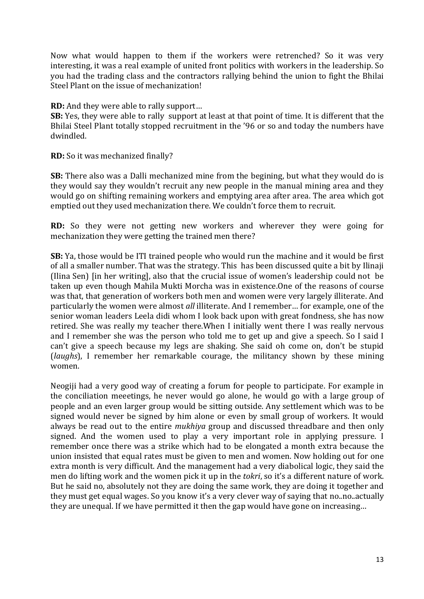Now what would happen to them if the workers were retrenched? So it was very interesting, it was a real example of united front politics with workers in the leadership. So you had the trading class and the contractors rallying behind the union to fight the Bhilai Steel Plant on the issue of mechanization!

**RD:** And they were able to rally support...

**SB:** Yes, they were able to rally support at least at that point of time. It is different that the Bhilai Steel Plant totally stopped recruitment in the '96 or so and today the numbers have dwindled.

**RD:** So it was mechanized finally?

**SB:** There also was a Dalli mechanized mine from the begining, but what they would do is they would say they wouldn't recruit any new people in the manual mining area and they would go on shifting remaining workers and emptying area after area. The area which got emptied out they used mechanization there. We couldn't force them to recruit.

**RD:** So they were not getting new workers and wherever they were going for mechanization they were getting the trained men there?

**SB:** Ya, those would be ITI trained people who would run the machine and it would be first of all a smaller number. That was the strategy. This has been discussed quite a bit by Ilinaji (Ilina Sen) [in her writing], also that the crucial issue of women's leadership could not be taken up even though Mahila Mukti Morcha was in existence. One of the reasons of course was that, that generation of workers both men and women were very largely illiterate. And particularly the women were almost *all* illiterate. And I remember... for example, one of the senior woman leaders Leela didi whom I look back upon with great fondness, she has now retired. She was really my teacher there. When I initially went there I was really nervous and I remember she was the person who told me to get up and give a speech. So I said I can't give a speech because my legs are shaking. She said oh come on, don't be stupid (*laughs*), I remember her remarkable courage, the militancy shown by these mining women. 

Neogiji had a very good way of creating a forum for people to participate. For example in the conciliation meeetings, he never would go alone, he would go with a large group of people and an even larger group would be sitting outside. Any settlement which was to be signed would never be signed by him alone or even by small group of workers. It would always be read out to the entire *mukhiya* group and discussed threadbare and then only signed. And the women used to play a very important role in applying pressure. I remember once there was a strike which had to be elongated a month extra because the union insisted that equal rates must be given to men and women. Now holding out for one extra month is very difficult. And the management had a very diabolical logic, they said the men do lifting work and the women pick it up in the *tokri*, so it's a different nature of work. But he said no, absolutely not they are doing the same work, they are doing it together and they must get equal wages. So you know it's a very clever way of saying that no..no..actually they are unequal. If we have permitted it then the gap would have gone on increasing...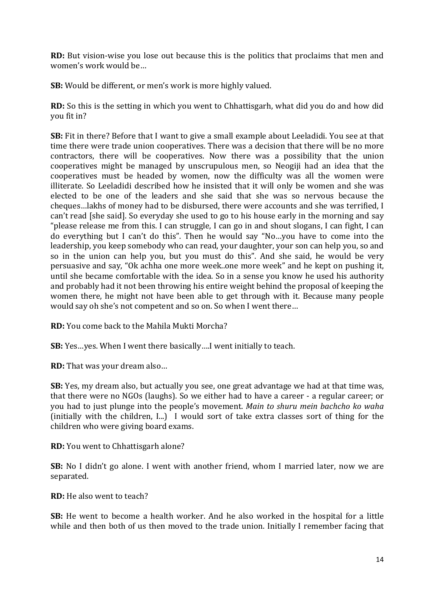**RD:** But vision-wise you lose out because this is the politics that proclaims that men and women's work would be...

**SB:** Would be different, or men's work is more highly valued.

**RD:** So this is the setting in which you went to Chhattisgarh, what did you do and how did you fit in?

**SB:** Fit in there? Before that I want to give a small example about Leeladidi. You see at that time there were trade union cooperatives. There was a decision that there will be no more contractors, there will be cooperatives. Now there was a possibility that the union cooperatives might be managed by unscrupulous men, so Neogiji had an idea that the cooperatives must be headed by women, now the difficulty was all the women were illiterate. So Leeladidi described how he insisted that it will only be women and she was elected to be one of the leaders and she said that she was so nervous because the cheques...lakhs of money had to be disbursed, there were accounts and she was terrified, I can't read [she said]. So everyday she used to go to his house early in the morning and say "please release me from this. I can struggle, I can go in and shout slogans, I can fight, I can do everything but I can't do this". Then he would say "No...you have to come into the leadership, you keep somebody who can read, your daughter, your son can help you, so and so in the union can help you, but you must do this". And she said, he would be very persuasive and say, "Ok achha one more week..one more week" and he kept on pushing it, until she became comfortable with the idea. So in a sense you know he used his authority and probably had it not been throwing his entire weight behind the proposal of keeping the women there, he might not have been able to get through with it. Because many people would say oh she's not competent and so on. So when I went there...

**RD:** You come back to the Mahila Mukti Morcha?

**SB:** Yes...yes. When I went there basically....I went initially to teach.

**RD:** That was your dream also...

**SB:** Yes, my dream also, but actually you see, one great advantage we had at that time was, that there were no NGOs (laughs). So we either had to have a career - a regular career; or you had to just plunge into the people's movement. *Main to shuru mein bachcho ko waha* (initially with the children,  $I_{n}$ ) I would sort of take extra classes sort of thing for the children who were giving board exams.

**RD:** You went to Chhattisgarh alone?

**SB:** No I didn't go alone. I went with another friend, whom I married later, now we are separated.

**RD:** He also went to teach?

**SB:** He went to become a health worker. And he also worked in the hospital for a little while and then both of us then moved to the trade union. Initially I remember facing that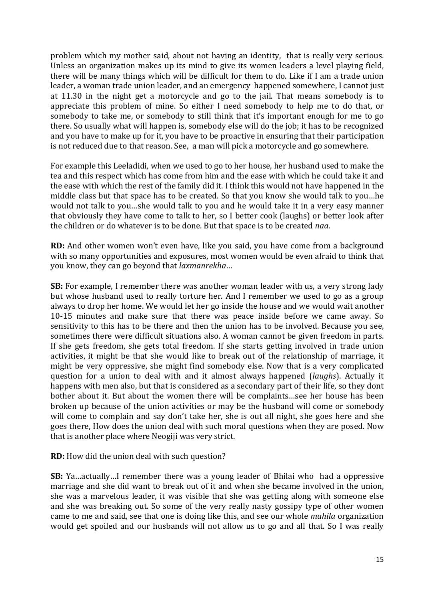problem which my mother said, about not having an identity, that is really very serious. Unless an organization makes up its mind to give its women leaders a level playing field, there will be many things which will be difficult for them to do. Like if I am a trade union leader, a woman trade union leader, and an emergency happened somewhere, I cannot just at 11.30 in the night get a motorcycle and go to the jail. That means somebody is to appreciate this problem of mine. So either I need somebody to help me to do that, or somebody to take me, or somebody to still think that it's important enough for me to go there. So usually what will happen is, somebody else will do the job; it has to be recognized and you have to make up for it, you have to be proactive in ensuring that their participation is not reduced due to that reason. See, a man will pick a motorcycle and go somewhere.

For example this Leeladidi, when we used to go to her house, her husband used to make the tea and this respect which has come from him and the ease with which he could take it and the ease with which the rest of the family did it. I think this would not have happened in the middle class but that space has to be created. So that you know she would talk to you...he would not talk to you...she would talk to you and he would take it in a very easy manner that obviously they have come to talk to her, so I better cook (laughs) or better look after the children or do whatever is to be done. But that space is to be created *naa*.

**RD:** And other women won't even have, like you said, you have come from a background with so many opportunities and exposures, most women would be even afraid to think that you know, they can go beyond that *laxmanrekha*…

**SB:** For example, I remember there was another woman leader with us, a very strong lady but whose husband used to really torture her. And I remember we used to go as a group always to drop her home. We would let her go inside the house and we would wait another 10-15 minutes and make sure that there was peace inside before we came away. So sensitivity to this has to be there and then the union has to be involved. Because you see, sometimes there were difficult situations also. A woman cannot be given freedom in parts. If she gets freedom, she gets total freedom. If she starts getting involved in trade union activities, it might be that she would like to break out of the relationship of marriage, it might be very oppressive, she might find somebody else. Now that is a very complicated question for a union to deal with and it almost always happened *(laughs)*. Actually it happens with men also, but that is considered as a secondary part of their life, so they dont bother about it. But about the women there will be complaints…see her house has been broken up because of the union activities or may be the husband will come or somebody will come to complain and say don't take her, she is out all night, she goes here and she goes there, How does the union deal with such moral questions when they are posed. Now that is another place where Neogiji was very strict.

**RD:** How did the union deal with such question?

**SB:** Ya ... actually ... I remember there was a young leader of Bhilai who had a oppressive marriage and she did want to break out of it and when she became involved in the union, she was a marvelous leader, it was visible that she was getting along with someone else and she was breaking out. So some of the very really nasty gossipy type of other women came to me and said, see that one is doing like this, and see our whole *mahila* organization would get spoiled and our husbands will not allow us to go and all that. So I was really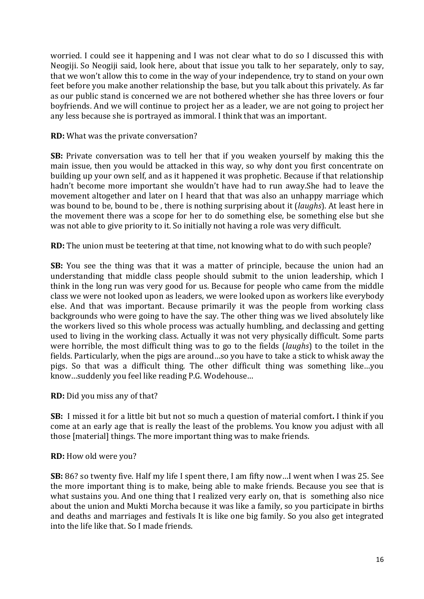worried. I could see it happening and I was not clear what to do so I discussed this with Neogiji. So Neogiji said, look here, about that issue you talk to her separately, only to say, that we won't allow this to come in the way of your independence, try to stand on your own feet before you make another relationship the base, but you talk about this privately. As far as our public stand is concerned we are not bothered whether she has three lovers or four boyfriends. And we will continue to project her as a leader, we are not going to project her any less because she is portrayed as immoral. I think that was an important.

**RD:** What was the private conversation?

**SB:** Private conversation was to tell her that if you weaken yourself by making this the main issue, then you would be attacked in this way, so why dont you first concentrate on building up your own self, and as it happened it was prophetic. Because if that relationship hadn't become more important she wouldn't have had to run away.She had to leave the movement altogether and later on I heard that that was also an unhappy marriage which was bound to be, bound to be, there is nothing surprising about it (*laughs*). At least here in the movement there was a scope for her to do something else, be something else but she was not able to give priority to it. So initially not having a role was very difficult.

**RD:** The union must be teetering at that time, not knowing what to do with such people?

**SB:** You see the thing was that it was a matter of principle, because the union had an understanding that middle class people should submit to the union leadership, which I think in the long run was very good for us. Because for people who came from the middle class we were not looked upon as leaders, we were looked upon as workers like everybody else. And that was important. Because primarily it was the people from working class backgrounds who were going to have the say. The other thing was we lived absolutely like the workers lived so this whole process was actually humbling, and declassing and getting used to living in the working class. Actually it was not very physically difficult. Some parts were horrible, the most difficult thing was to go to the fields (*laughs*) to the toilet in the fields. Particularly, when the pigs are around...so you have to take a stick to whisk away the pigs. So that was a difficult thing. The other difficult thing was something like…you know...suddenly you feel like reading P.G. Wodehouse...

**RD:** Did you miss any of that?

**SB:** I missed it for a little bit but not so much a question of material comfort. I think if you come at an early age that is really the least of the problems. You know you adjust with all those [material] things. The more important thing was to make friends.

**RD:** How old were you?

**SB:** 86? so twenty five. Half my life I spent there, I am fifty now...I went when I was 25. See the more important thing is to make, being able to make friends. Because you see that is what sustains you. And one thing that I realized very early on, that is something also nice about the union and Mukti Morcha because it was like a family, so you participate in births and deaths and marriages and festivals It is like one big family. So you also get integrated into the life like that. So I made friends.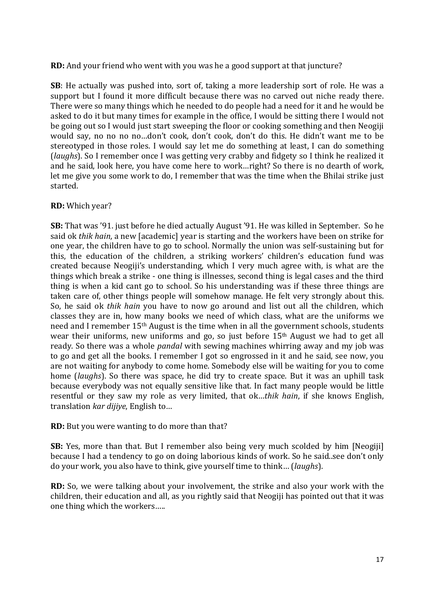**RD:** And your friend who went with you was he a good support at that juncture?

**SB**: He actually was pushed into, sort of, taking a more leadership sort of role. He was a support but I found it more difficult because there was no carved out niche ready there. There were so many things which he needed to do people had a need for it and he would be asked to do it but many times for example in the office. I would be sitting there I would not be going out so I would just start sweeping the floor or cooking something and then Neogiji would say, no no no no...don't cook, don't cook, don't do this. He didn't want me to be stereotyped in those roles. I would say let me do something at least, I can do something (*laughs*). So I remember once I was getting very crabby and fidgety so I think he realized it and he said, look here, you have come here to work...right? So there is no dearth of work, let me give you some work to do, I remember that was the time when the Bhilai strike just started.

# **RD:** Which year?

**SB:** That was '91. just before he died actually August '91. He was killed in September. So he said ok *thik hain*, a new [academic] year is starting and the workers have been on strike for one vear, the children have to go to school. Normally the union was self-sustaining but for this, the education of the children, a striking workers' children's education fund was created because Neogiji's understanding, which I very much agree with, is what are the things which break a strike - one thing is illnesses, second thing is legal cases and the third thing is when a kid cant go to school. So his understanding was if these three things are taken care of, other things people will somehow manage. He felt very strongly about this. So, he said ok *thik hain* you have to now go around and list out all the children, which classes they are in, how many books we need of which class, what are the uniforms we need and I remember 15<sup>th</sup> August is the time when in all the government schools, students wear their uniforms, new uniforms and go, so just before  $15<sup>th</sup>$  August we had to get all ready. So there was a whole *pandal* with sewing machines whirring away and my job was to go and get all the books. I remember I got so engrossed in it and he said, see now, you are not waiting for anybody to come home. Somebody else will be waiting for you to come home *(laughs)*. So there was space, he did try to create space. But it was an uphill task because everybody was not equally sensitive like that. In fact many people would be little resentful or they saw my role as very limited, that ok...thik hain, if she knows English, translation *kar dijiye*, English to...

**RD:** But you were wanting to do more than that?

**SB:** Yes, more than that. But I remember also being very much scolded by him [Neogiji] because I had a tendency to go on doing laborious kinds of work. So he said, see don't only do your work, you also have to think, give yourself time to think... (*laughs*).

**RD:** So, we were talking about your involvement, the strike and also your work with the children, their education and all, as you rightly said that Neogiji has pointed out that it was one thing which the workers.....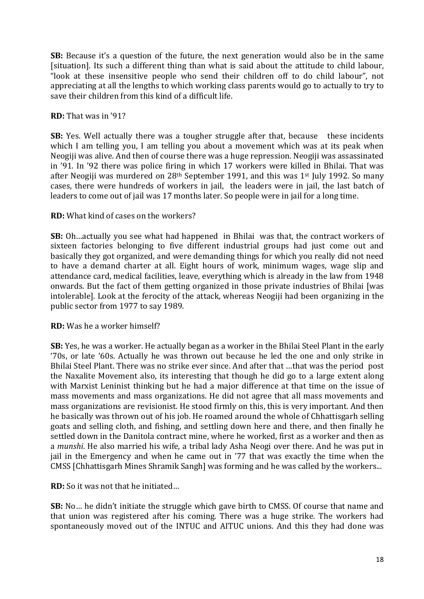**SB:** Because it's a question of the future, the next generation would also be in the same [situation]. Its such a different thing than what is said about the attitude to child labour, "look at these insensitive people who send their children off to do child labour", not appreciating at all the lengths to which working class parents would go to actually to try to save their children from this kind of a difficult life.

# **RD:** That was in '91?

**SB:** Yes. Well actually there was a tougher struggle after that, because these incidents which I am telling you, I am telling you about a movement which was at its peak when Neogiji was alive. And then of course there was a huge repression. Neogiji was assassinated in '91. In '92 there was police firing in which 17 workers were killed in Bhilai. That was after Neogiji was murdered on  $28<sup>th</sup>$  September 1991, and this was  $1<sup>st</sup>$  July 1992. So many cases, there were hundreds of workers in jail, the leaders were in jail, the last batch of leaders to come out of jail was 17 months later. So people were in jail for a long time.

# **RD:** What kind of cases on the workers?

**SB:** Oh...actually you see what had happened in Bhilai was that, the contract workers of sixteen factories belonging to five different industrial groups had just come out and basically they got organized, and were demanding things for which you really did not need to have a demand charter at all. Eight hours of work, minimum wages, wage slip and attendance card, medical facilities, leave, everything which is already in the law from 1948 onwards. But the fact of them getting organized in those private industries of Bhilai [was intolerable]. Look at the ferocity of the attack, whereas Neogiji had been organizing in the public sector from 1977 to say 1989.

# **RD:** Was he a worker himself?

**SB:** Yes, he was a worker. He actually began as a worker in the Bhilai Steel Plant in the early '70s, or late '60s. Actually he was thrown out because he led the one and only strike in Bhilai Steel Plant. There was no strike ever since. And after that ...that was the period post the Naxalite Movement also, its interesting that though he did go to a large extent along with Marxist Leninist thinking but he had a major difference at that time on the issue of mass movements and mass organizations. He did not agree that all mass movements and mass organizations are revisionist. He stood firmly on this, this is very important. And then he basically was thrown out of his job. He roamed around the whole of Chhattisgarh selling goats and selling cloth, and fishing, and settling down here and there, and then finally he settled down in the Danitola contract mine, where he worked, first as a worker and then as a *munshi*. He also married his wife, a tribal lady Asha Neogi over there. And he was put in jail in the Emergency and when he came out in '77 that was exactly the time when the CMSS [Chhattisgarh Mines Shramik Sangh] was forming and he was called by the workers...

**RD:** So it was not that he initiated...

**SB:** No... he didn't initiate the struggle which gave birth to CMSS. Of course that name and that union was registered after his coming. There was a huge strike. The workers had spontaneously moved out of the INTUC and AITUC unions. And this they had done was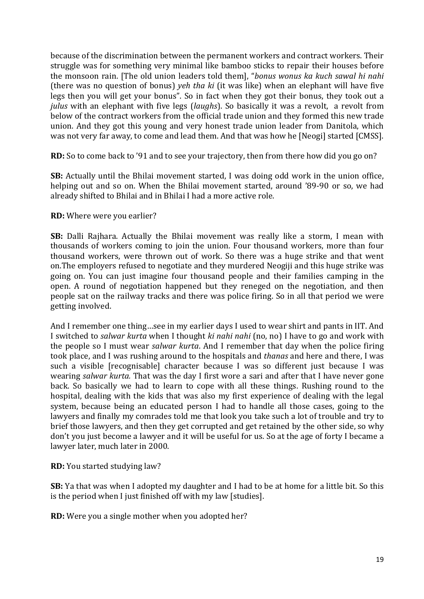because of the discrimination between the permanent workers and contract workers. Their struggle was for something very minimal like bamboo sticks to repair their houses before the monsoon rain. [The old union leaders told them], "bonus wonus ka kuch sawal hi nahi (there was no question of bonus) *yeh tha ki* (it was like) when an elephant will have five legs then you will get your bonus". So in fact when they got their bonus, they took out a *julus* with an elephant with five legs (*laughs*). So basically it was a revolt, a revolt from below of the contract workers from the official trade union and they formed this new trade union. And they got this young and very honest trade union leader from Danitola. which was not very far away, to come and lead them. And that was how he [Neogi] started [CMSS].

**RD:** So to come back to '91 and to see your trajectory, then from there how did you go on?

**SB:** Actually until the Bhilai movement started, I was doing odd work in the union office, helping out and so on. When the Bhilai movement started, around '89-90 or so, we had already shifted to Bhilai and in Bhilai I had a more active role.

#### **RD:** Where were you earlier?

**SB:** Dalli Rajhara. Actually the Bhilai movement was really like a storm, I mean with thousands of workers coming to join the union. Four thousand workers, more than four thousand workers, were thrown out of work. So there was a huge strike and that went on. The employers refused to negotiate and they murdered Neogiji and this huge strike was going on. You can just imagine four thousand people and their families camping in the open. A round of negotiation happened but they reneged on the negotiation, and then people sat on the railway tracks and there was police firing. So in all that period we were getting involved.

And I remember one thing...see in my earlier days I used to wear shirt and pants in IIT. And I switched to *salwar kurta* when I thought *ki nahi nahi* (no, no) I have to go and work with the people so I must wear *salwar kurta*. And I remember that day when the police firing took place, and I was rushing around to the hospitals and *thanas* and here and there, I was such a visible [recognisable] character because I was so different just because I was wearing *salwar kurta*. That was the day I first wore a sari and after that I have never gone back. So basically we had to learn to cope with all these things. Rushing round to the hospital, dealing with the kids that was also my first experience of dealing with the legal system, because being an educated person I had to handle all those cases, going to the lawyers and finally my comrades told me that look you take such a lot of trouble and try to brief those lawyers, and then they get corrupted and get retained by the other side, so why don't you just become a lawyer and it will be useful for us. So at the age of forty I became a lawyer later, much later in 2000.

**RD:** You started studying law?

**SB:** Ya that was when I adopted my daughter and I had to be at home for a little bit. So this is the period when I just finished off with my law [studies].

**RD:** Were you a single mother when you adopted her?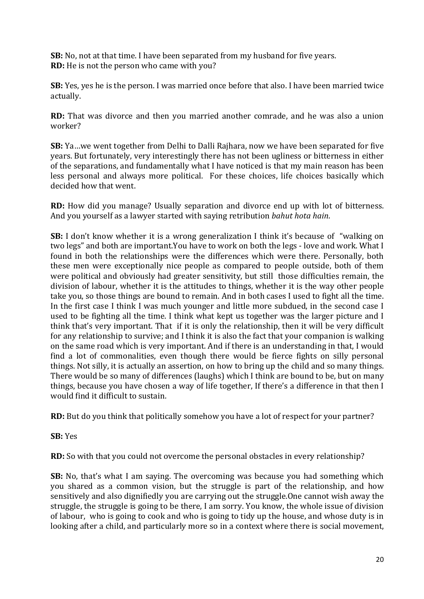**SB:** No, not at that time. I have been separated from my husband for five years. **RD:** He is not the person who came with you?

**SB:** Yes, yes he is the person. I was married once before that also. I have been married twice actually.

**RD:** That was divorce and then you married another comrade, and he was also a union worker?

**SB:** Ya ... we went together from Delhi to Dalli Rajhara, now we have been separated for five years. But fortunately, very interestingly there has not been ugliness or bitterness in either of the separations, and fundamentally what I have noticed is that my main reason has been less personal and always more political. For these choices, life choices basically which decided how that went.

**RD:** How did you manage? Usually separation and divorce end up with lot of bitterness. And you yourself as a lawyer started with saying retribution *bahut hota hain*.

**SB:** I don't know whether it is a wrong generalization I think it's because of "walking on two legs" and both are important.You have to work on both the legs - love and work. What I found in both the relationships were the differences which were there. Personally, both these men were exceptionally nice people as compared to people outside, both of them were political and obviously had greater sensitivity, but still those difficulties remain, the division of labour, whether it is the attitudes to things, whether it is the way other people take you, so those things are bound to remain. And in both cases I used to fight all the time. In the first case I think I was much younger and little more subdued, in the second case I used to be fighting all the time. I think what kept us together was the larger picture and I think that's very important. That if it is only the relationship, then it will be very difficult for any relationship to survive; and I think it is also the fact that your companion is walking on the same road which is very important. And if there is an understanding in that, I would find a lot of commonalities, even though there would be fierce fights on silly personal things. Not silly, it is actually an assertion, on how to bring up the child and so many things. There would be so many of differences (laughs) which I think are bound to be, but on many things, because you have chosen a way of life together, If there's a difference in that then I would find it difficult to sustain.

**RD:** But do you think that politically somehow you have a lot of respect for your partner?

# **SB:** Yes

**RD:** So with that you could not overcome the personal obstacles in every relationship?

**SB:** No, that's what I am saying. The overcoming was because you had something which you shared as a common vision, but the struggle is part of the relationship, and how sensitively and also dignifiedly you are carrying out the struggle. One cannot wish away the struggle, the struggle is going to be there, I am sorry. You know, the whole issue of division of labour, who is going to cook and who is going to tidy up the house, and whose duty is in looking after a child, and particularly more so in a context where there is social movement,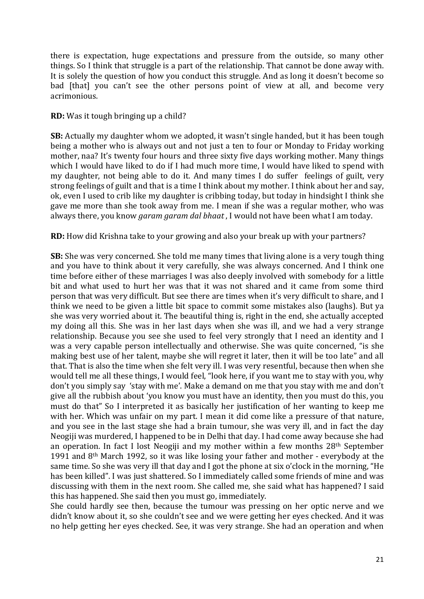there is expectation, huge expectations and pressure from the outside, so many other things. So I think that struggle is a part of the relationship. That cannot be done away with. It is solely the question of how you conduct this struggle. And as long it doesn't become so bad [that] you can't see the other persons point of view at all, and become very acrimonious.

#### **RD:** Was it tough bringing up a child?

**SB:** Actually my daughter whom we adopted, it wasn't single handed, but it has been tough being a mother who is always out and not just a ten to four or Monday to Friday working mother, naa? It's twenty four hours and three sixty five days working mother. Many things which I would have liked to do if I had much more time, I would have liked to spend with my daughter, not being able to do it. And many times I do suffer feelings of guilt, very strong feelings of guilt and that is a time I think about my mother. I think about her and say, ok, even I used to crib like my daughter is cribbing today, but today in hindsight I think she gave me more than she took away from me. I mean if she was a regular mother, who was always there, you know *garam garam dal bhaat*, I would not have been what I am today.

#### **RD:** How did Krishna take to your growing and also your break up with your partners?

**SB:** She was very concerned. She told me many times that living alone is a very tough thing and you have to think about it very carefully, she was always concerned. And I think one time before either of these marriages I was also deeply involved with somebody for a little bit and what used to hurt her was that it was not shared and it came from some third person that was very difficult. But see there are times when it's very difficult to share, and I think we need to be given a little bit space to commit some mistakes also (laughs). But ya she was very worried about it. The beautiful thing is, right in the end, she actually accepted my doing all this. She was in her last days when she was ill, and we had a very strange relationship. Because you see she used to feel very strongly that I need an identity and I was a very capable person intellectually and otherwise. She was quite concerned, "is she making best use of her talent, maybe she will regret it later, then it will be too late" and all that. That is also the time when she felt very ill. I was very resentful, because then when she would tell me all these things, I would feel, "look here, if you want me to stay with you, why don't you simply say 'stay with me'. Make a demand on me that you stay with me and don't give all the rubbish about 'you know you must have an identity, then you must do this, you must do that" So I interpreted it as basically her justification of her wanting to keep me with her. Which was unfair on my part. I mean it did come like a pressure of that nature. and you see in the last stage she had a brain tumour, she was very ill, and in fact the day Neogiji was murdered, I happened to be in Delhi that day. I had come away because she had an operation. In fact I lost Neogiji and my mother within a few months  $28<sup>th</sup>$  September 1991 and  $8<sup>th</sup>$  March 1992, so it was like losing your father and mother - everybody at the same time. So she was very ill that day and I got the phone at six o'clock in the morning, "He has been killed". I was just shattered. So I immediately called some friends of mine and was discussing with them in the next room. She called me, she said what has happened? I said this has happened. She said then you must go, immediately.

She could hardly see then, because the tumour was pressing on her optic nerve and we didn't know about it, so she couldn't see and we were getting her eyes checked. And it was no help getting her eyes checked. See, it was very strange. She had an operation and when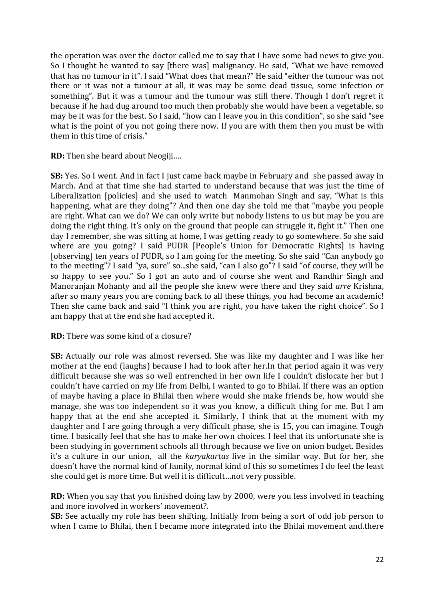the operation was over the doctor called me to say that I have some bad news to give you. So I thought he wanted to say [there was] malignancy. He said, "What we have removed that has no tumour in it". I said "What does that mean?" He said "either the tumour was not there or it was not a tumour at all, it was may be some dead tissue, some infection or something". But it was a tumour and the tumour was still there. Though I don't regret it because if he had dug around too much then probably she would have been a vegetable, so may be it was for the best. So I said, "how can I leave you in this condition", so she said "see what is the point of you not going there now. If you are with them then you must be with them in this time of crisis."

**RD:** Then she heard about Neogiji....

**SB:** Yes. So I went. And in fact I just came back maybe in February and she passed away in March. And at that time she had started to understand because that was just the time of Liberalization [policies] and she used to watch Manmohan Singh and say, "What is this happening, what are they doing"? And then one day she told me that "maybe you people are right. What can we do? We can only write but nobody listens to us but may be you are doing the right thing. It's only on the ground that people can struggle it, fight it." Then one day I remember, she was sitting at home, I was getting ready to go somewhere. So she said where are you going? I said PUDR [People's Union for Democratic Rights] is having [observing] ten years of PUDR, so I am going for the meeting. So she said "Can anybody go to the meeting"? I said "ya, sure" so...she said, "can I also go"? I said "of course, they will be so happy to see you." So I got an auto and of course she went and Randhir Singh and Manoranjan Mohanty and all the people she knew were there and they said *arre* Krishna, after so many years you are coming back to all these things, you had become an academic! Then she came back and said "I think you are right, you have taken the right choice". So I am happy that at the end she had accepted it.

**RD:** There was some kind of a closure?

**SB:** Actually our role was almost reversed. She was like my daughter and I was like her mother at the end (laughs) because I had to look after her. In that period again it was very difficult because she was so well entrenched in her own life I couldn't dislocate her but I couldn't have carried on my life from Delhi, I wanted to go to Bhilai. If there was an option of maybe having a place in Bhilai then where would she make friends be, how would she manage, she was too independent so it was you know, a difficult thing for me. But I am happy that at the end she accepted it. Similarly, I think that at the moment with my daughter and I are going through a very difficult phase, she is 15, you can imagine. Tough time. I basically feel that she has to make her own choices. I feel that its unfortunate she is been studying in government schools all through because we live on union budget. Besides it's a culture in our union, all the *karyakartas* live in the similar way. But for her, she doesn't have the normal kind of family, normal kind of this so sometimes I do feel the least she could get is more time. But well it is difficult...not very possible.

**RD:** When you say that you finished doing law by 2000, were you less involved in teaching and more involved in workers' movement?.

**SB:** See actually my role has been shifting. Initially from being a sort of odd job person to when I came to Bhilai, then I became more integrated into the Bhilai movement and there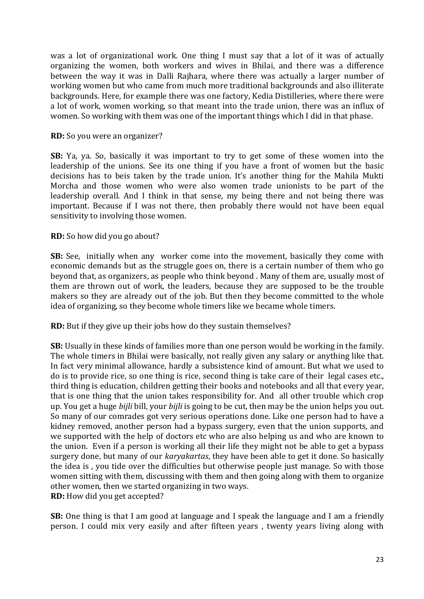was a lot of organizational work. One thing I must say that a lot of it was of actually organizing the women, both workers and wives in Bhilai, and there was a difference between the way it was in Dalli Rajhara, where there was actually a larger number of working women but who came from much more traditional backgrounds and also illiterate backgrounds. Here, for example there was one factory, Kedia Distilleries, where there were a lot of work, women working, so that meant into the trade union, there was an influx of women. So working with them was one of the important things which I did in that phase.

#### **RD:** So you were an organizer?

**SB:** Ya, ya. So, basically it was important to try to get some of these women into the leadership of the unions. See its one thing if you have a front of women but the basic decisions has to beis taken by the trade union. It's another thing for the Mahila Mukti Morcha and those women who were also women trade unionists to be part of the leadership overall. And I think in that sense, my being there and not being there was important. Because if I was not there, then probably there would not have been equal sensitivity to involving those women.

#### **RD:** So how did you go about?

**SB:** See, initially when any worker come into the movement, basically they come with economic demands but as the struggle goes on, there is a certain number of them who go beyond that, as organizers, as people who think beyond . Many of them are, usually most of them are thrown out of work, the leaders, because they are supposed to be the trouble makers so they are already out of the job. But then they become committed to the whole idea of organizing, so they become whole timers like we became whole timers.

**RD:** But if they give up their jobs how do they sustain themselves?

**SB:** Usually in these kinds of families more than one person would be working in the family. The whole timers in Bhilai were basically, not really given any salary or anything like that. In fact very minimal allowance, hardly a subsistence kind of amount. But what we used to do is to provide rice, so one thing is rice, second thing is take care of their legal cases etc., third thing is education, children getting their books and notebooks and all that every year, that is one thing that the union takes responsibility for. And all other trouble which crop up. You get a huge *bijli* bill, your *bijli* is going to be cut, then may be the union helps you out. So many of our comrades got very serious operations done. Like one person had to have a kidney removed, another person had a bypass surgery, even that the union supports, and we supported with the help of doctors etc who are also helping us and who are known to the union. Even if a person is working all their life they might not be able to get a bypass surgery done, but many of our *karyakartas*, they have been able to get it done. So basically the idea is, you tide over the difficulties but otherwise people just manage. So with those women sitting with them, discussing with them and then going along with them to organize other women, then we started organizing in two ways. **RD:** How did you get accepted?

**SB:** One thing is that I am good at language and I speak the language and I am a friendly person. I could mix very easily and after fifteen years, twenty years living along with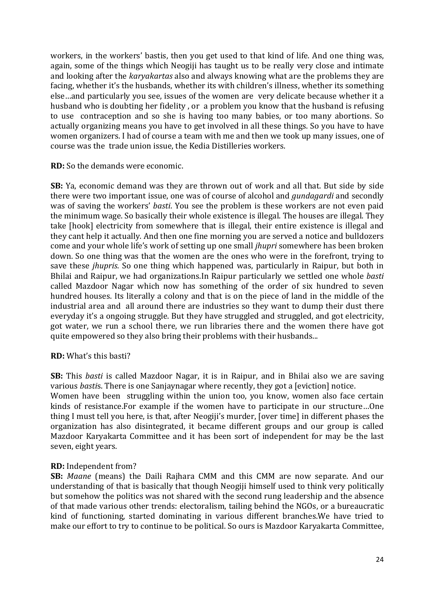workers, in the workers' bastis, then you get used to that kind of life. And one thing was, again, some of the things which Neogiji has taught us to be really very close and intimate and looking after the *karyakartas* also and always knowing what are the problems they are facing, whether it's the husbands, whether its with children's illness, whether its something else ... and particularly you see, issues of the women are very delicate because whether it a husband who is doubting her fidelity, or a problem you know that the husband is refusing to use contraception and so she is having too many babies, or too many abortions. So actually organizing means you have to get involved in all these things. So you have to have women organizers. I had of course a team with me and then we took up many issues, one of course was the trade union issue, the Kedia Distilleries workers.

**RD:** So the demands were economic.

**SB:** Ya, economic demand was they are thrown out of work and all that. But side by side there were two important issue, one was of course of alcohol and *gundagardi* and secondly was of saving the workers' *basti*. You see the problem is these workers are not even paid the minimum wage. So basically their whole existence is illegal. The houses are illegal. They take [hook] electricity from somewhere that is illegal, their entire existence is illegal and they cant help it actually. And then one fine morning you are served a notice and bulldozers come and your whole life's work of setting up one small *ihupri* somewhere has been broken down. So one thing was that the women are the ones who were in the forefront, trying to save these *jhupris*. So one thing which happened was, particularly in Raipur, but both in Bhilai and Raipur, we had organizations.In Raipur particularly we settled one whole *basti* called Mazdoor Nagar which now has something of the order of six hundred to seven hundred houses. Its literally a colony and that is on the piece of land in the middle of the industrial area and all around there are industries so they want to dump their dust there everyday it's a ongoing struggle. But they have struggled and struggled, and got electricity, got water, we run a school there, we run libraries there and the women there have got quite empowered so they also bring their problems with their husbands...

# **RD:** What's this basti?

**SB:** This *basti* is called Mazdoor Nagar, it is in Raipur, and in Bhilai also we are saving various *bastis*. There is one Sanjaynagar where recently, they got a [eviction] notice. Women have been struggling within the union too, you know, women also face certain kinds of resistance.For example if the women have to participate in our structure...One thing I must tell you here, is that, after Neogiji's murder, [over time] in different phases the organization has also disintegrated, it became different groups and our group is called Mazdoor Karyakarta Committee and it has been sort of independent for may be the last seven, eight years.

# **RD:** Independent from?

**SB:** Maane (means) the Daili Rajhara CMM and this CMM are now separate. And our understanding of that is basically that though Neogiji himself used to think very politically but somehow the politics was not shared with the second rung leadership and the absence of that made various other trends: electoralism, tailing behind the NGOs, or a bureaucratic kind of functioning, started dominating in various different branches. We have tried to make our effort to try to continue to be political. So ours is Mazdoor Karyakarta Committee,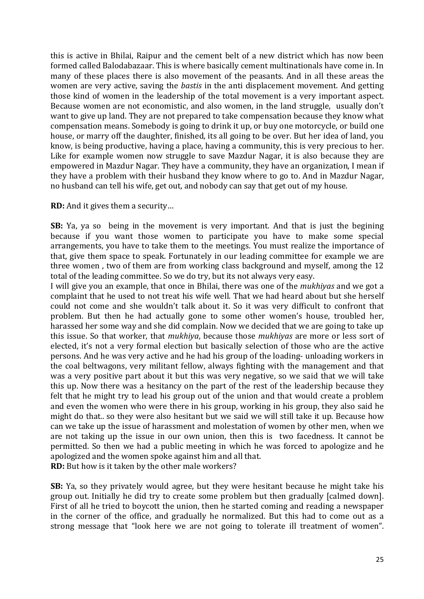this is active in Bhilai, Raipur and the cement belt of a new district which has now been formed called Balodabazaar. This is where basically cement multinationals have come in. In many of these places there is also movement of the peasants. And in all these areas the women are very active, saving the *bastis* in the anti displacement movement. And getting those kind of women in the leadership of the total movement is a very important aspect. Because women are not economistic, and also women, in the land struggle, usually don't want to give up land. They are not prepared to take compensation because they know what compensation means. Somebody is going to drink it up, or buy one motorcycle, or build one house, or marry off the daughter, finished, its all going to be over. But her idea of land, you know, is being productive, having a place, having a community, this is very precious to her. Like for example women now struggle to save Mazdur Nagar, it is also because they are empowered in Mazdur Nagar. They have a community, they have an organization, I mean if they have a problem with their husband they know where to go to. And in Mazdur Nagar, no husband can tell his wife, get out, and nobody can say that get out of my house.

**RD:** And it gives them a security...

**SB:** Ya, va so being in the movement is very important. And that is just the begining because if you want those women to participate you have to make some special arrangements, you have to take them to the meetings. You must realize the importance of that, give them space to speak. Fortunately in our leading committee for example we are three women, two of them are from working class background and myself, among the 12 total of the leading committee. So we do try, but its not always very easy.

I will give you an example, that once in Bhilai, there was one of the *mukhiyas* and we got a complaint that he used to not treat his wife well. That we had heard about but she herself could not come and she wouldn't talk about it. So it was very difficult to confront that problem. But then he had actually gone to some other women's house, troubled her, harassed her some way and she did complain. Now we decided that we are going to take up this issue. So that worker, that *mukhiya*, because those *mukhiyas* are more or less sort of elected, it's not a very formal election but basically selection of those who are the active persons. And he was very active and he had his group of the loading- unloading workers in the coal beltwagons, very militant fellow, always fighting with the management and that was a very positive part about it but this was very negative, so we said that we will take this up. Now there was a hesitancy on the part of the rest of the leadership because they felt that he might try to lead his group out of the union and that would create a problem and even the women who were there in his group, working in his group, they also said he might do that.. so they were also hesitant but we said we will still take it up. Because how can we take up the issue of harassment and molestation of women by other men, when we are not taking up the issue in our own union, then this is two facedness. It cannot be permitted. So then we had a public meeting in which he was forced to apologize and he apologized and the women spoke against him and all that. **RD:** But how is it taken by the other male workers?

**SB:** Ya, so they privately would agree, but they were hesitant because he might take his group out. Initially he did try to create some problem but then gradually [calmed down]. First of all he tried to boycott the union, then he started coming and reading a newspaper in the corner of the office, and gradually he normalized. But this had to come out as a strong message that "look here we are not going to tolerate ill treatment of women".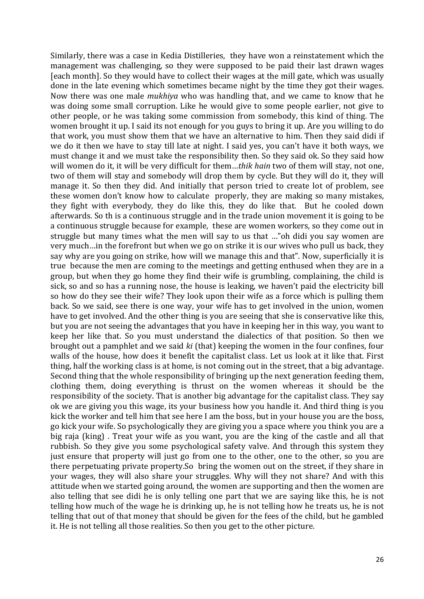Similarly, there was a case in Kedia Distilleries, they have won a reinstatement which the management was challenging, so they were supposed to be paid their last drawn wages [each month]. So they would have to collect their wages at the mill gate, which was usually done in the late evening which sometimes became night by the time they got their wages. Now there was one male *mukhiya* who was handling that, and we came to know that he was doing some small corruption. Like he would give to some people earlier, not give to other people, or he was taking some commission from somebody, this kind of thing. The women brought it up. I said its not enough for you guys to bring it up. Are you willing to do that work, you must show them that we have an alternative to him. Then they said didi if we do it then we have to stay till late at night. I said yes, you can't have it both ways, we must change it and we must take the responsibility then. So they said ok. So they said how will women do it, it will be very difficult for them...thik hain two of them will stay, not one, two of them will stay and somebody will drop them by cycle. But they will do it, they will manage it. So then they did. And initially that person tried to create lot of problem, see these women don't know how to calculate properly, they are making so many mistakes, they fight with everybody, they do like this, they do like that. But he cooled down afterwards. So th is a continuous struggle and in the trade union movement it is going to be a continuous struggle because for example, these are women workers, so they come out in struggle but many times what the men will say to us that ..."oh didi you say women are very much...in the forefront but when we go on strike it is our wives who pull us back, they say why are you going on strike, how will we manage this and that". Now, superficially it is true because the men are coming to the meetings and getting enthused when they are in a group, but when they go home they find their wife is grumbling, complaining, the child is sick, so and so has a running nose, the house is leaking, we haven't paid the electricity bill so how do they see their wife? They look upon their wife as a force which is pulling them back. So we said, see there is one way, your wife has to get involved in the union, women have to get involved. And the other thing is you are seeing that she is conservative like this, but you are not seeing the advantages that you have in keeping her in this way, you want to keep her like that. So you must understand the dialectics of that position. So then we brought out a pamphlet and we said *ki* (that) keeping the women in the four confines, four walls of the house, how does it benefit the capitalist class. Let us look at it like that. First thing, half the working class is at home, is not coming out in the street, that a big advantage. Second thing that the whole responsibility of bringing up the next generation feeding them, clothing them, doing everything is thrust on the women whereas it should be the responsibility of the society. That is another big advantage for the capitalist class. They say ok we are giving you this wage, its your business how you handle it. And third thing is you kick the worker and tell him that see here I am the boss, but in your house you are the boss, go kick your wife. So psychologically they are giving you a space where you think you are a big raja (king). Treat your wife as you want, you are the king of the castle and all that rubbish. So they give you some psychological safety valve. And through this system they just ensure that property will just go from one to the other, one to the other, so you are there perpetuating private property. So bring the women out on the street, if they share in your wages, they will also share your struggles. Why will they not share? And with this attitude when we started going around, the women are supporting and then the women are also telling that see didi he is only telling one part that we are saying like this, he is not telling how much of the wage he is drinking up, he is not telling how he treats us, he is not telling that out of that money that should be given for the fees of the child, but he gambled it. He is not telling all those realities. So then you get to the other picture.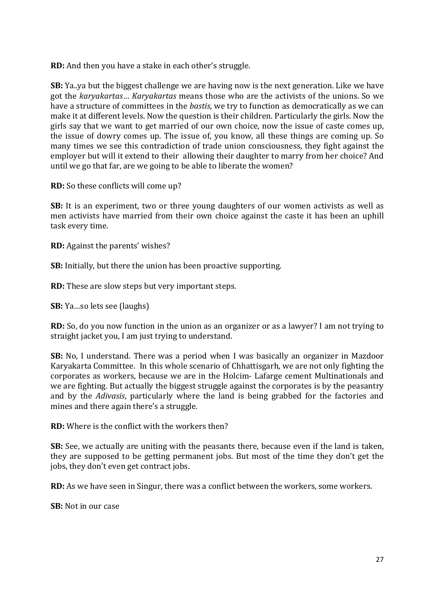**RD:** And then you have a stake in each other's struggle.

**SB:** Ya..ya but the biggest challenge we are having now is the next generation. Like we have got the *karyakartas*… *Karyakartas* means those who are the activists of the unions. So we have a structure of committees in the *bastis*, we try to function as democratically as we can make it at different levels. Now the question is their children. Particularly the girls. Now the girls say that we want to get married of our own choice, now the issue of caste comes up, the issue of dowry comes up. The issue of, you know, all these things are coming up. So many times we see this contradiction of trade union consciousness, they fight against the employer but will it extend to their allowing their daughter to marry from her choice? And until we go that far, are we going to be able to liberate the women?

**RD:** So these conflicts will come up?

**SB:** It is an experiment, two or three young daughters of our women activists as well as men activists have married from their own choice against the caste it has been an uphill task every time.

**RD:** Against the parents' wishes?

**SB:** Initially, but there the union has been proactive supporting.

**RD:** These are slow steps but very important steps.

**SB:** Ya...so lets see (laughs)

**RD:** So, do you now function in the union as an organizer or as a lawyer? I am not trying to straight jacket you, I am just trying to understand.

**SB:** No, I understand. There was a period when I was basically an organizer in Mazdoor Karyakarta Committee. In this whole scenario of Chhattisgarh, we are not only fighting the corporates as workers, because we are in the Holcim- Lafarge cement Multinationals and we are fighting. But actually the biggest struggle against the corporates is by the peasantry and by the *Adivasis*, particularly where the land is being grabbed for the factories and mines and there again there's a struggle.

**RD:** Where is the conflict with the workers then?

**SB:** See, we actually are uniting with the peasants there, because even if the land is taken, they are supposed to be getting permanent jobs. But most of the time they don't get the jobs, they don't even get contract jobs.

**RD:** As we have seen in Singur, there was a conflict between the workers, some workers.

**SB:** Not in our case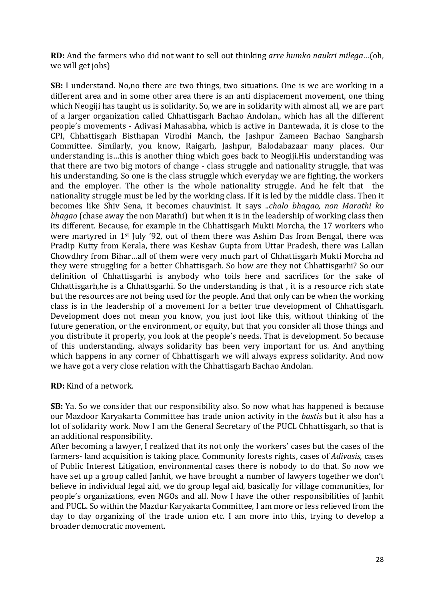**RD:** And the farmers who did not want to sell out thinking *arre humko naukri milega*...(oh, we will get jobs)

**SB:** I understand. No,no there are two things, two situations. One is we are working in a different area and in some other area there is an anti displacement movement, one thing which Neogiji has taught us is solidarity. So, we are in solidarity with almost all, we are part of a larger organization called Chhattisgarh Bachao Andolan., which has all the different people's movements - Adivasi Mahasabha, which is active in Dantewada, it is close to the CPI, Chhattisgarh Bisthapan Virodhi Manch, the Jashpur Zameen Bachao Sangharsh Committee. Similarly, you know, Raigarh, Jashpur, Balodabazaar many places. Our understanding is ...this is another thing which goes back to Neogiji.His understanding was that there are two big motors of change - class struggle and nationality struggle, that was his understanding. So one is the class struggle which everyday we are fighting, the workers and the employer. The other is the whole nationality struggle. And he felt that the nationality struggle must be led by the working class. If it is led by the middle class. Then it becomes like Shiv Sena, it becomes chauvinist. It says ..*chalo bhagao, non Marathi ko bhagao* (chase away the non Marathi) but when it is in the leadership of working class then its different. Because, for example in the Chhattisgarh Mukti Morcha, the 17 workers who were martyred in  $1<sup>st</sup>$  July '92, out of them there was Ashim Das from Bengal, there was Pradip Kutty from Kerala, there was Keshay Gupta from Uttar Pradesh, there was Lallan Chowdhry from Bihar...all of them were very much part of Chhattisgarh Mukti Morcha nd they were struggling for a better Chhattisgarh. So how are they not Chhattisgarhi? So our definition of Chhattisgarhi is anybody who toils here and sacrifices for the sake of Chhattisgarh,he is a Chhattsgarhi. So the understanding is that, it is a resource rich state but the resources are not being used for the people. And that only can be when the working class is in the leadership of a movement for a better true development of Chhattisgarh. Development does not mean you know, you just loot like this, without thinking of the future generation, or the environment, or equity, but that you consider all those things and you distribute it properly, you look at the people's needs. That is development. So because of this understanding, always solidarity has been very important for us. And anything which happens in any corner of Chhattisgarh we will always express solidarity. And now we have got a very close relation with the Chhattisgarh Bachao Andolan.

**RD:** Kind of a network.

**SB:** Ya. So we consider that our responsibility also. So now what has happened is because our Mazdoor Karyakarta Committee has trade union activity in the *bastis* but it also has a lot of solidarity work. Now I am the General Secretary of the PUCL Chhattisgarh, so that is an additional responsibility.

After becoming a lawyer, I realized that its not only the workers' cases but the cases of the farmers- land acquisition is taking place. Community forests rights, cases of *Adivasis*, cases of Public Interest Litigation, environmental cases there is nobody to do that. So now we have set up a group called Janhit, we have brought a number of lawyers together we don't believe in individual legal aid, we do group legal aid, basically for village communities, for people's organizations, even NGOs and all. Now I have the other responsibilities of Janhit and PUCL. So within the Mazdur Karyakarta Committee, I am more or less relieved from the day to day organizing of the trade union etc. I am more into this, trying to develop a broader democratic movement.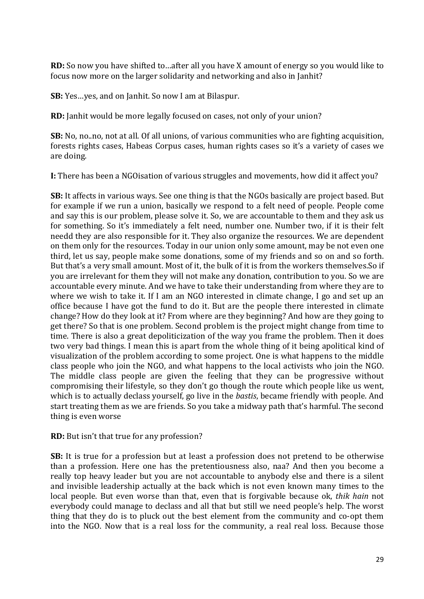**RD:** So now you have shifted to...after all you have X amount of energy so you would like to focus now more on the larger solidarity and networking and also in Janhit?

**SB:** Yes...yes, and on Janhit. So now I am at Bilaspur.

**RD:** Janhit would be more legally focused on cases, not only of your union?

**SB:** No, no..no, not at all. Of all unions, of various communities who are fighting acquisition, forests rights cases, Habeas Corpus cases, human rights cases so it's a variety of cases we are doing.

**I:** There has been a NGOisation of various struggles and movements, how did it affect you?

**SB:** It affects in various ways. See one thing is that the NGOs basically are project based. But for example if we run a union, basically we respond to a felt need of people. People come and say this is our problem, please solve it. So, we are accountable to them and they ask us for something. So it's immediately a felt need, number one. Number two, if it is their felt needd they are also responsible for it. They also organize the resources. We are dependent on them only for the resources. Today in our union only some amount, may be not even one third, let us say, people make some donations, some of my friends and so on and so forth. But that's a very small amount. Most of it, the bulk of it is from the workers themselves.So if you are irrelevant for them they will not make any donation, contribution to you. So we are accountable every minute. And we have to take their understanding from where they are to where we wish to take it. If I am an NGO interested in climate change, I go and set up an office because I have got the fund to do it. But are the people there interested in climate change? How do they look at it? From where are they beginning? And how are they going to get there? So that is one problem. Second problem is the project might change from time to time. There is also a great depoliticization of the way you frame the problem. Then it does two very bad things. I mean this is apart from the whole thing of it being apolitical kind of visualization of the problem according to some project. One is what happens to the middle class people who join the NGO, and what happens to the local activists who join the NGO. The middle class people are given the feeling that they can be progressive without compromising their lifestyle, so they don't go though the route which people like us went, which is to actually declass yourself, go live in the *bastis*, became friendly with people. And start treating them as we are friends. So you take a midway path that's harmful. The second thing is even worse

**RD:** But isn't that true for any profession?

**SB:** It is true for a profession but at least a profession does not pretend to be otherwise than a profession. Here one has the pretentiousness also, naa? And then you become a really top heavy leader but you are not accountable to anybody else and there is a silent and invisible leadership actually at the back which is not even known many times to the local people. But even worse than that, even that is forgivable because ok, *thik hain* not everybody could manage to declass and all that but still we need people's help. The worst thing that they do is to pluck out the best element from the community and co-opt them into the NGO. Now that is a real loss for the community, a real real loss. Because those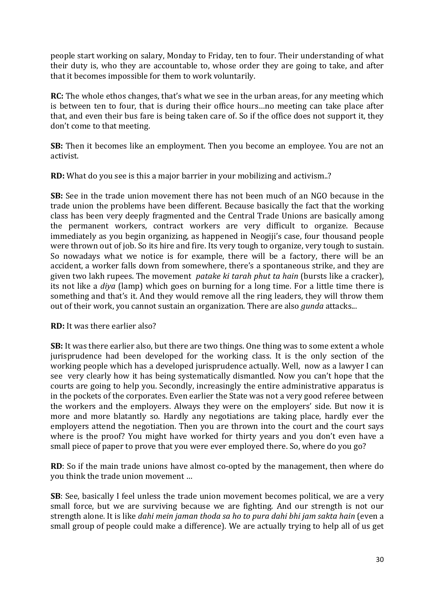people start working on salary, Monday to Friday, ten to four. Their understanding of what their duty is, who they are accountable to, whose order they are going to take, and after that it becomes impossible for them to work voluntarily.

**RC:** The whole ethos changes, that's what we see in the urban areas, for any meeting which is between ten to four, that is during their office hours...no meeting can take place after that, and even their bus fare is being taken care of. So if the office does not support it, they don't come to that meeting.

**SB:** Then it becomes like an employment. Then you become an employee. You are not an activist.

**RD:** What do you see is this a major barrier in your mobilizing and activism..?

**SB:** See in the trade union movement there has not been much of an NGO because in the trade union the problems have been different. Because basically the fact that the working class has been very deeply fragmented and the Central Trade Unions are basically among the permanent workers, contract workers are very difficult to organize. Because immediately as you begin organizing, as happened in Neogiji's case, four thousand people were thrown out of job. So its hire and fire. Its very tough to organize, very tough to sustain. So nowadays what we notice is for example, there will be a factory, there will be an accident, a worker falls down from somewhere, there's a spontaneous strike, and they are given two lakh rupees. The movement *patake ki tarah phut ta hain* (bursts like a cracker), its not like a *diya* (lamp) which goes on burning for a long time. For a little time there is something and that's it. And they would remove all the ring leaders, they will throw them out of their work, you cannot sustain an organization. There are also *gunda* attacks...

**RD:** It was there earlier also?

**SB:** It was there earlier also, but there are two things. One thing was to some extent a whole jurisprudence had been developed for the working class. It is the only section of the working people which has a developed jurisprudence actually. Well, now as a lawyer I can see very clearly how it has being systematically dismantled. Now you can't hope that the courts are going to help you. Secondly, increasingly the entire administrative apparatus is in the pockets of the corporates. Even earlier the State was not a very good referee between the workers and the employers. Always they were on the employers' side. But now it is more and more blatantly so. Hardly any negotiations are taking place, hardly ever the employers attend the negotiation. Then you are thrown into the court and the court says where is the proof? You might have worked for thirty years and you don't even have a small piece of paper to prove that you were ever employed there. So, where do you go?

**RD**: So if the main trade unions have almost co-opted by the management, then where do you think the trade union movement ...

**SB**: See, basically I feel unless the trade union movement becomes political, we are a very small force, but we are surviving because we are fighting. And our strength is not our strength alone. It is like *dahi mein jaman thoda sa ho to pura dahi bhi jam sakta hain* (even a small group of people could make a difference). We are actually trying to help all of us get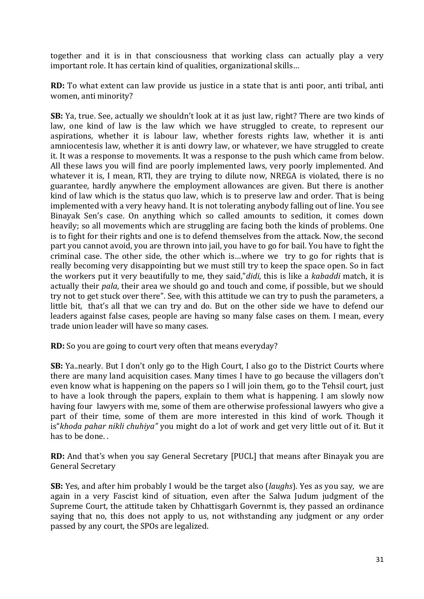together and it is in that consciousness that working class can actually play a very important role. It has certain kind of qualities, organizational skills...

**RD:** To what extent can law provide us justice in a state that is anti poor, anti tribal, anti women, anti minority?

**SB:** Ya, true. See, actually we shouldn't look at it as just law, right? There are two kinds of law, one kind of law is the law which we have struggled to create, to represent our aspirations, whether it is labour law, whether forests rights law, whether it is anti amniocentesis law, whether it is anti dowry law, or whatever, we have struggled to create it. It was a response to movements. It was a response to the push which came from below. All these laws you will find are poorly implemented laws, very poorly implemented. And whatever it is, I mean, RTI, they are trying to dilute now, NREGA is violated, there is no guarantee, hardly anywhere the employment allowances are given. But there is another kind of law which is the status quo law, which is to preserve law and order. That is being implemented with a very heavy hand. It is not tolerating anybody falling out of line. You see Binayak Sen's case. On anything which so called amounts to sedition, it comes down heavily; so all movements which are struggling are facing both the kinds of problems. One is to fight for their rights and one is to defend themselves from the attack. Now, the second part you cannot avoid, you are thrown into jail, you have to go for bail. You have to fight the criminal case. The other side, the other which is...where we try to go for rights that is really becoming very disappointing but we must still try to keep the space open. So in fact the workers put it very beautifully to me, they said,"*didi*, this is like a *kabaddi* match, it is actually their *pala*, their area we should go and touch and come, if possible, but we should try not to get stuck over there". See, with this attitude we can try to push the parameters, a little bit, that's all that we can try and do. But on the other side we have to defend our leaders against false cases, people are having so many false cases on them. I mean, every trade union leader will have so many cases.

**RD:** So you are going to court very often that means everyday?

**SB:** Ya..nearly. But I don't only go to the High Court, I also go to the District Courts where there are many land acquisition cases. Many times I have to go because the villagers don't even know what is happening on the papers so I will join them, go to the Tehsil court, just to have a look through the papers, explain to them what is happening. I am slowly now having four lawyers with me, some of them are otherwise professional lawyers who give a part of their time, some of them are more interested in this kind of work. Though it is"*khoda pahar nikli chuhiya"* you might do a lot of work and get very little out of it. But it has to be done...

**RD:** And that's when you say General Secretary [PUCL] that means after Binayak you are General Secretary

**SB:** Yes, and after him probably I would be the target also (*laughs*). Yes as you say, we are again in a very Fascist kind of situation, even after the Salwa Judum judgment of the Supreme Court, the attitude taken by Chhattisgarh Governmt is, they passed an ordinance saying that no, this does not apply to us, not withstanding any judgment or any order passed by any court, the SPOs are legalized.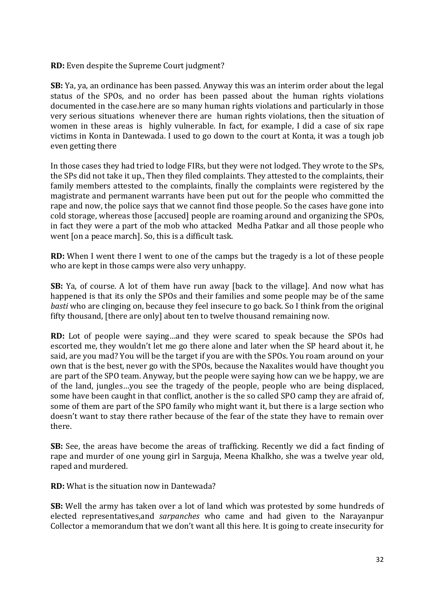**RD:** Even despite the Supreme Court judgment?

**SB:** Ya, ya, an ordinance has been passed. Anyway this was an interim order about the legal status of the SPOs, and no order has been passed about the human rights violations documented in the case, here are so many human rights violations and particularly in those very serious situations whenever there are human rights violations, then the situation of women in these areas is highly vulnerable. In fact, for example, I did a case of six rape victims in Konta in Dantewada. I used to go down to the court at Konta, it was a tough job even getting there

In those cases they had tried to lodge FIRs, but they were not lodged. They wrote to the SPs, the SPs did not take it up., Then they filed complaints. They attested to the complaints, their family members attested to the complaints, finally the complaints were registered by the magistrate and permanent warrants have been put out for the people who committed the rape and now, the police says that we cannot find those people. So the cases have gone into cold storage, whereas those [accused] people are roaming around and organizing the SPOs, in fact they were a part of the mob who attacked Medha Patkar and all those people who went [on a peace march]. So, this is a difficult task.

**RD:** When I went there I went to one of the camps but the tragedy is a lot of these people who are kept in those camps were also very unhappy.

**SB:** Ya, of course. A lot of them have run away [back to the village]. And now what has happened is that its only the SPOs and their families and some people may be of the same *basti* who are clinging on, because they feel insecure to go back. So I think from the original fifty thousand, [there are only] about ten to twelve thousand remaining now.

**RD:** Lot of people were saying...and they were scared to speak because the SPOs had escorted me, they wouldn't let me go there alone and later when the SP heard about it, he said, are you mad? You will be the target if you are with the SPOs. You roam around on your own that is the best, never go with the SPOs, because the Naxalites would have thought you are part of the SPO team. Anyway, but the people were saying how can we be happy, we are of the land, jungles...you see the tragedy of the people, people who are being displaced, some have been caught in that conflict, another is the so called SPO camp they are afraid of, some of them are part of the SPO family who might want it, but there is a large section who doesn't want to stay there rather because of the fear of the state they have to remain over there.

**SB:** See, the areas have become the areas of trafficking. Recently we did a fact finding of rape and murder of one young girl in Sarguja, Meena Khalkho, she was a twelve year old, raped and murdered.

**RD:** What is the situation now in Dantewada?

**SB:** Well the army has taken over a lot of land which was protested by some hundreds of elected representatives, and *sarpanches* who came and had given to the Narayanpur Collector a memorandum that we don't want all this here. It is going to create insecurity for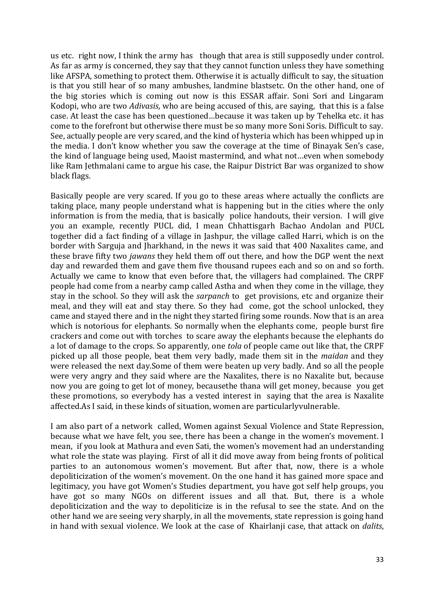us etc. right now, I think the army has though that area is still supposedly under control. As far as army is concerned, they say that they cannot function unless they have something like AFSPA, something to protect them. Otherwise it is actually difficult to say, the situation is that you still hear of so many ambushes, landmine blastsetc. On the other hand, one of the big stories which is coming out now is this ESSAR affair. Soni Sori and Lingaram Kodopi, who are two *Adivasis*, who are being accused of this, are saying, that this is a false case. At least the case has been questioned…because it was taken up by Tehelka etc. it has come to the forefront but otherwise there must be so many more Soni Soris. Difficult to say. See, actually people are very scared, and the kind of hysteria which has been whipped up in the media. I don't know whether you saw the coverage at the time of Binayak Sen's case, the kind of language being used, Maoist mastermind, and what not...even when somebody like Ram Jethmalani came to argue his case, the Raipur District Bar was organized to show black flags.

Basically people are very scared. If you go to these areas where actually the conflicts are taking place, many people understand what is happening but in the cities where the only information is from the media, that is basically police handouts, their version. I will give you an example, recently PUCL did, I mean Chhattisgarh Bachao Andolan and PUCL together did a fact finding of a village in Jashpur, the village called Harri, which is on the border with Sarguja and Iharkhand, in the news it was said that 400 Naxalites came, and these brave fifty two *jawans* they held them off out there, and how the DGP went the next day and rewarded them and gave them five thousand rupees each and so on and so forth. Actually we came to know that even before that, the villagers had complained. The CRPF people had come from a nearby camp called Astha and when they come in the village, they stay in the school. So they will ask the *sarpanch* to get provisions, etc and organize their meal, and they will eat and stay there. So they had come, got the school unlocked, they came and stayed there and in the night they started firing some rounds. Now that is an area which is notorious for elephants. So normally when the elephants come, people burst fire crackers and come out with torches to scare away the elephants because the elephants do a lot of damage to the crops. So apparently, one *tola* of people came out like that, the CRPF picked up all those people, beat them very badly, made them sit in the *maidan* and they were released the next day.Some of them were beaten up very badly. And so all the people were very angry and they said where are the Naxalites, there is no Naxalite but, because now you are going to get lot of money, becausethe thana will get money, because you get these promotions, so everybody has a vested interest in saying that the area is Naxalite affected.As I said, in these kinds of situation, women are particularlyvulnerable.

I am also part of a network called, Women against Sexual Violence and State Repression, because what we have felt, you see, there has been a change in the women's movement. I mean, if you look at Mathura and even Sati, the women's movement had an understanding what role the state was playing. First of all it did move away from being fronts of political parties to an autonomous women's movement. But after that, now, there is a whole depoliticization of the women's movement. On the one hand it has gained more space and legitimacy, you have got Women's Studies department, you have got self help groups, you have got so many NGOs on different issues and all that. But, there is a whole depoliticization and the way to depoliticize is in the refusal to see the state. And on the other hand we are seeing very sharply, in all the movements, state repression is going hand in hand with sexual violence. We look at the case of Khairlanji case, that attack on *dalits*,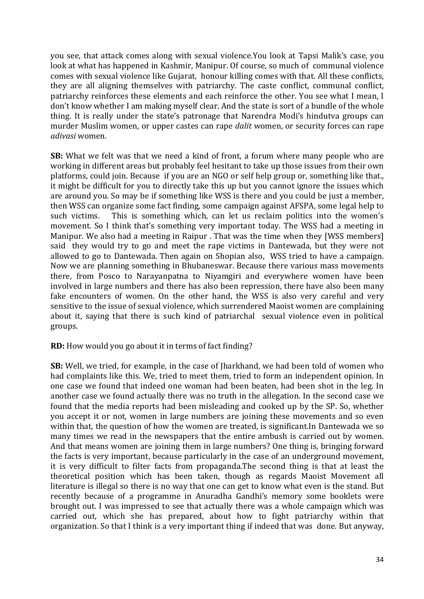you see, that attack comes along with sexual violence.You look at Tapsi Malik's case, you look at what has happened in Kashmir, Manipur. Of course, so much of communal violence comes with sexual violence like Gujarat, honour killing comes with that. All these conflicts, they are all aligning themselves with patriarchy. The caste conflict, communal conflict, patriarchy reinforces these elements and each reinforce the other. You see what I mean, I don't know whether I am making myself clear. And the state is sort of a bundle of the whole thing. It is really under the state's patronage that Narendra Modi's hindutva groups can murder Muslim women, or upper castes can rape *dalit* women, or security forces can rape *adivasi* women. 

**SB:** What we felt was that we need a kind of front, a forum where many people who are working in different areas but probably feel hesitant to take up those issues from their own platforms, could join. Because if you are an NGO or self help group or, something like that., it might be difficult for you to directly take this up but you cannot ignore the issues which are around you. So may be if something like WSS is there and you could be just a member, then WSS can organize some fact finding, some campaign against AFSPA, some legal help to such victims. This is something which, can let us reclaim politics into the women's movement. So I think that's something very important today. The WSS had a meeting in Manipur. We also had a meeting in Raipur . That was the time when they [WSS members] said they would try to go and meet the rape victims in Dantewada, but they were not allowed to go to Dantewada. Then again on Shopian also, WSS tried to have a campaign. Now we are planning something in Bhubaneswar. Because there various mass movements there, from Posco to Narayanpatna to Niyamgiri and everywhere women have been involved in large numbers and there has also been repression, there have also been many fake encounters of women. On the other hand, the WSS is also very careful and very sensitive to the issue of sexual violence, which surrendered Maoist women are complaining about it, saying that there is such kind of patriarchal sexual violence even in political groups.

# **RD:** How would you go about it in terms of fact finding?

**SB:** Well, we tried, for example, in the case of [harkhand, we had been told of women who had complaints like this. We, tried to meet them, tried to form an independent opinion. In one case we found that indeed one woman had been beaten, had been shot in the leg. In another case we found actually there was no truth in the allegation. In the second case we found that the media reports had been misleading and cooked up by the SP. So, whether you accept it or not, women in large numbers are joining these movements and so even within that, the question of how the women are treated, is significant.In Dantewada we so many times we read in the newspapers that the entire ambush is carried out by women. And that means women are joining them in large numbers? One thing is, bringing forward the facts is very important, because particularly in the case of an underground movement, it is very difficult to filter facts from propaganda.The second thing is that at least the theoretical position which has been taken, though as regards Maoist Movement all literature is illegal so there is no way that one can get to know what even is the stand. But recently because of a programme in Anuradha Gandhi's memory some booklets were brought out. I was impressed to see that actually there was a whole campaign which was carried out, which she has prepared, about how to fight patriarchy within that organization. So that I think is a very important thing if indeed that was done. But anyway,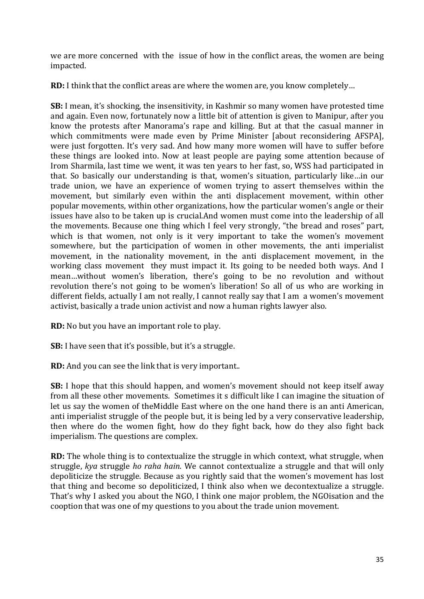we are more concerned with the issue of how in the conflict areas, the women are being impacted.

**RD:** I think that the conflict areas are where the women are, you know completely...

**SB:** I mean, it's shocking, the insensitivity, in Kashmir so many women have protested time and again. Even now, fortunately now a little bit of attention is given to Manipur, after vou know the protests after Manorama's rape and killing. But at that the casual manner in which commitments were made even by Prime Minister [about reconsidering AFSPA], were just forgotten. It's very sad. And how many more women will have to suffer before these things are looked into. Now at least people are paying some attention because of Irom Sharmila, last time we went, it was ten years to her fast, so, WSS had participated in that. So basically our understanding is that, women's situation, particularly like...in our trade union, we have an experience of women trying to assert themselves within the movement, but similarly even within the anti displacement movement, within other popular movements, within other organizations, how the particular women's angle or their issues have also to be taken up is crucial.And women must come into the leadership of all the movements. Because one thing which I feel very strongly, "the bread and roses" part, which is that women, not only is it very important to take the women's movement somewhere, but the participation of women in other movements, the anti imperialist movement, in the nationality movement, in the anti displacement movement, in the working class movement they must impact it. Its going to be needed both ways. And I mean...without women's liberation, there's going to be no revolution and without revolution there's not going to be women's liberation! So all of us who are working in different fields, actually I am not really, I cannot really say that I am a women's movement activist, basically a trade union activist and now a human rights lawyer also.

**RD:** No but you have an important role to play.

**SB:** I have seen that it's possible, but it's a struggle.

**RD:** And you can see the link that is very important..

**SB:** I hope that this should happen, and women's movement should not keep itself away from all these other movements. Sometimes it s difficult like I can imagine the situation of let us say the women of theMiddle East where on the one hand there is an anti American, anti imperialist struggle of the people but, it is being led by a very conservative leadership, then where do the women fight, how do they fight back, how do they also fight back imperialism. The questions are complex.

**RD:** The whole thing is to contextualize the struggle in which context, what struggle, when struggle, *kya* struggle *ho raha hain*. We cannot contextualize a struggle and that will only depoliticize the struggle. Because as you rightly said that the women's movement has lost that thing and become so depoliticized. I think also when we decontextualize a struggle. That's why I asked you about the NGO, I think one major problem, the NGOisation and the cooption that was one of my questions to you about the trade union movement.